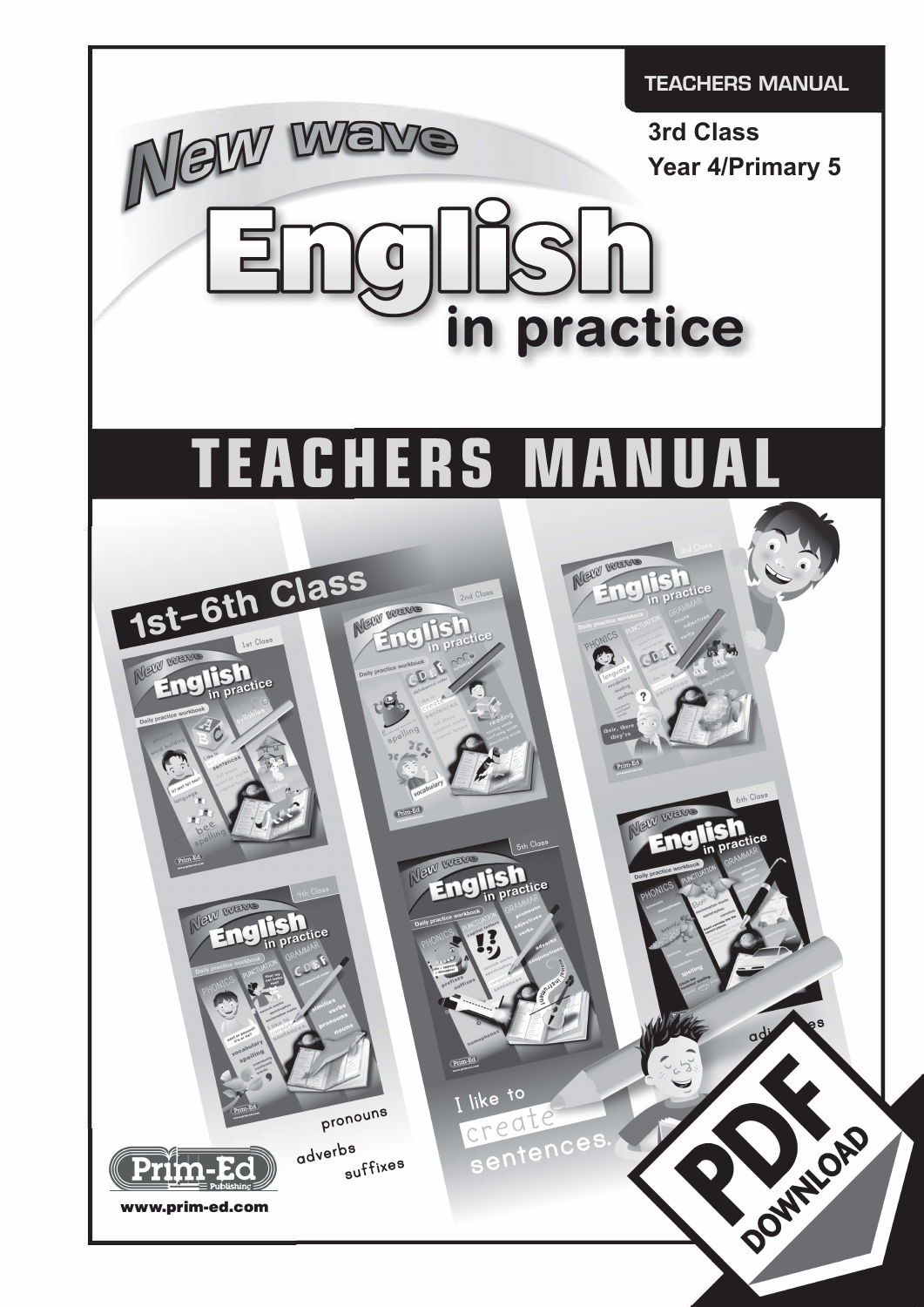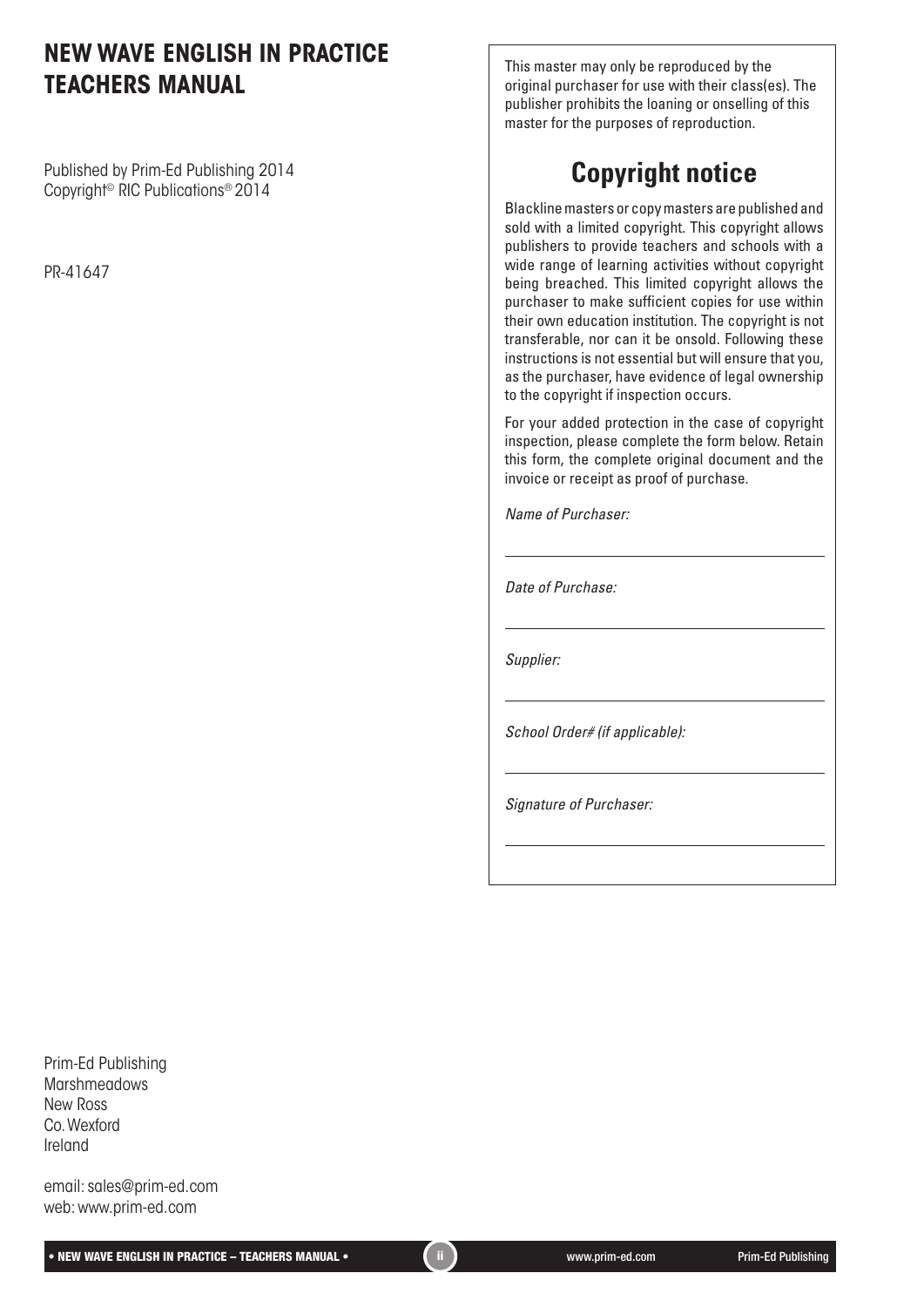#### **NEW WAVE ENGLISH IN PRACTICE TEACHERS MANUAL**

Published by Prim-Ed Publishing 2014 Copyright© RIC Publications® 2014

PR-41647

This master may only be reproduced by the original purchaser for use with their class(es). The publisher prohibits the loaning or onselling of this master for the purposes of reproduction.

# **Copyright notice**

Blackline masters or copy masters are published and sold with a limited copyright. This copyright allows publishers to provide teachers and schools with a wide range of learning activities without copyright being breached. This limited copyright allows the purchaser to make sufficient copies for use within their own education institution. The copyright is not transferable, nor can it be onsold. Following these instructions is not essential but will ensure that you, as the purchaser, have evidence of legal ownership to the copyright if inspection occurs.

For your added protection in the case of copyright inspection, please complete the form below. Retain this form, the complete original document and the invoice or receipt as proof of purchase.

*Name of Purchaser:*

*Date of Purchase:*

*Supplier:*

*School Order# (if applicable):*

*Signature of Purchaser:*

Prim-Ed Publishing **Marshmeadows** New Ross Co. Wexford Ireland

email: sales@prim-ed.com web: www.prim-ed.com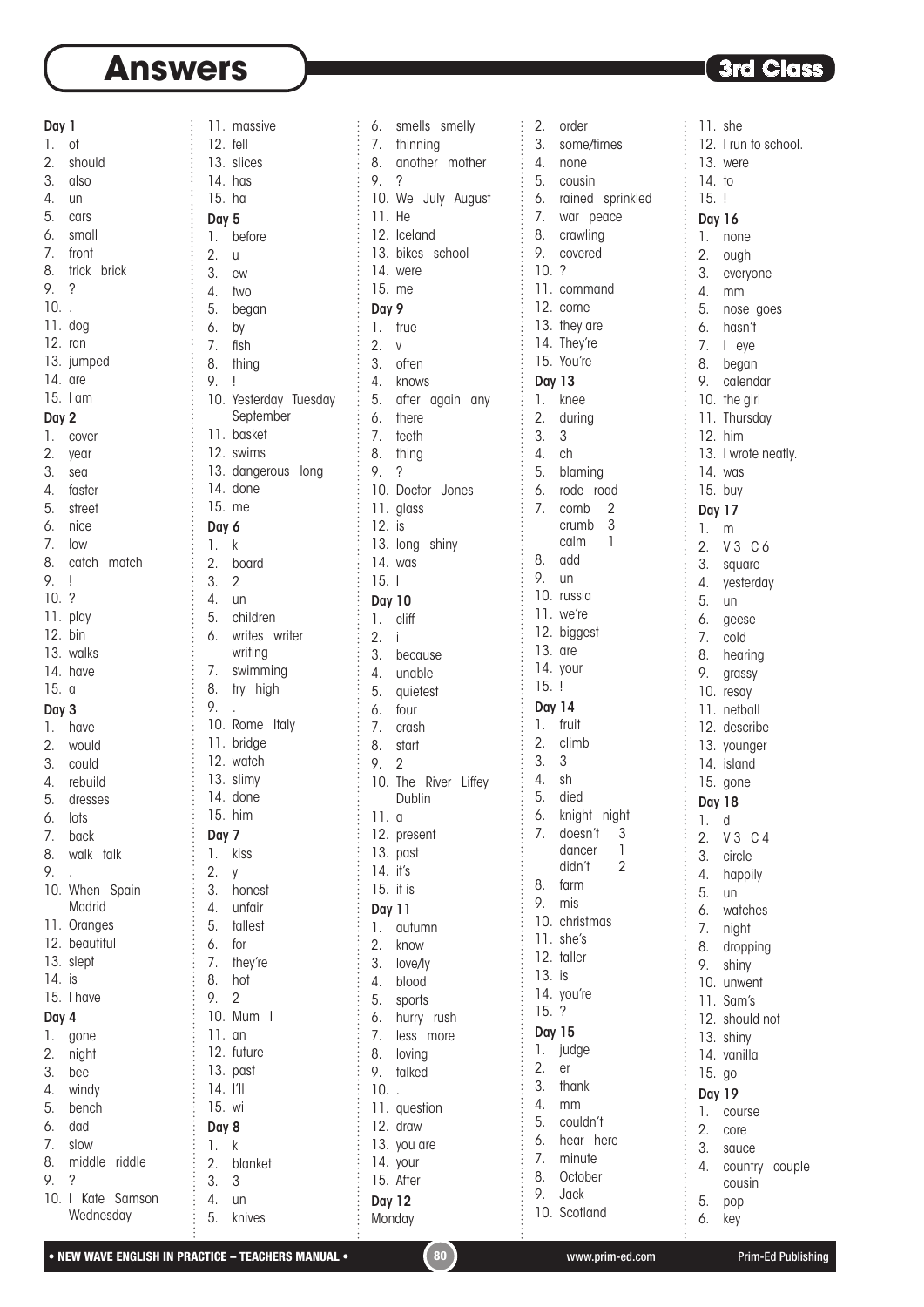| Day 1            |                             |
|------------------|-----------------------------|
| 1.               | of                          |
| 2.               | should                      |
| 3.               | also                        |
| 4.               | un                          |
| 5.               |                             |
|                  | cars                        |
| 6.<br>7.         | small                       |
|                  | front                       |
| 8.               | trick brick                 |
| 9.               | $\overline{\phantom{a}}$    |
| 10.              | $\epsilon$                  |
| .<br>11. dog     |                             |
| $12.$ ran        |                             |
|                  | 13. jumped                  |
| $14.$ are        |                             |
|                  | $15.1$ am                   |
| Day 2            |                             |
| 1.               | cover                       |
|                  | 2. year                     |
| 3. sea           |                             |
|                  | 4. faster                   |
|                  | 5. street                   |
|                  | 6. nice                     |
| 7.               | low                         |
| 8.               | catch match                 |
| 9.               |                             |
|                  | Ţ                           |
| 10. ?            | 1. play<br>12. bin<br>13. w |
|                  |                             |
|                  |                             |
|                  | walks<br>14. have           |
|                  |                             |
|                  |                             |
| 15.              | $\alpha$                    |
| Day 3            |                             |
| 1.               | have                        |
| 2.               | would                       |
| 3.               | could                       |
| 4.               | rebuild                     |
| 5.               | dresses                     |
| 6.               | lots                        |
| 7.               | back                        |
| 8.               |                             |
|                  | walk talk                   |
| 9.               |                             |
|                  | 10. When Spain<br>Madrid    |
|                  |                             |
|                  | 11. Oranges                 |
| 12.              | beautiful                   |
| 13.              | slept                       |
| 14.              | is                          |
| 15.              | I have                      |
| Day 4            |                             |
| 1.               | gone                        |
| $\overline{2}$ . | night                       |
| 3.               | bee                         |
| 4.               | windy                       |
| 5.               | bench                       |
| 6.               | dad                         |
| 7.               | slow                        |
| 8.               | middle riddle               |
| 9.               | $\overline{\phantom{a}}$    |
| 10.1             | Kate Samson<br>Wednesday    |

|                      | 11. massive                 |
|----------------------|-----------------------------|
| 12. fell             |                             |
|                      | 13. slices                  |
| $14.$ has            |                             |
| 15. ha               |                             |
| Day 5                |                             |
| 1.                   | before                      |
| $\overline{2}$ .     | $\cup$                      |
| 3.                   | ew                          |
| 4.                   | two                         |
| 5.                   | began                       |
| 6.                   | by                          |
| 7.                   | fish                        |
| 8.                   | thing                       |
| 9.                   | Ţ                           |
| 10.                  | Yesterday Tuesday           |
|                      | September                   |
| 11.<br>12.           | basket                      |
|                      | swims<br>13. dangerous long |
|                      | 14. done                    |
| 15. me               |                             |
|                      |                             |
| Day 6<br>1.          | $\mathsf k$                 |
|                      | 2. board                    |
| $\overline{2}$<br>3. |                             |
| 4. un                |                             |
|                      | 5. children                 |
| 6.                   | writes writer               |
|                      | writing                     |
| 7.                   | swimming                    |
| 8.                   | try high                    |
| 9.                   |                             |
|                      | 10. Rome Italy              |
|                      | 11. bridge                  |
|                      | 12. watch<br>13. slimy      |
|                      |                             |
|                      | $14.$ done                  |
|                      | 15. him                     |
| Day 7                |                             |
| 1.                   | kiss                        |
| 2.                   | y                           |
| 3.                   | honest                      |
| 4.<br>5.             | unfair                      |
| 6.                   | tallest                     |
| 7.                   | for<br>they're              |
| 8.                   | hot                         |
| 9.                   | 2                           |
| 10.                  | Mum<br>I                    |
| 11.                  | an                          |
| 12.                  | future                      |
| 13.                  | past                        |
| 14.                  |                             |
| 15.                  | wi                          |
| Day 8                |                             |
| 1.                   | k                           |
| 2.                   | blanket                     |
| 3.                   | 3                           |
| 4.                   | un                          |
| 5.                   | knives                      |
|                      |                             |

| 6.               | smells smelly               |
|------------------|-----------------------------|
|                  | 7. thinning                 |
| 8.               | another mother              |
| 9.               | ?                           |
| 10.              | We July August              |
| 11.              | He                          |
| 12.              | Iceland                     |
| 13.              | bikes school                |
| 14.              | were                        |
| 15.              | me                          |
| Day 9            |                             |
| 1.               | true                        |
| $\overline{2}$ . |                             |
| 3.               | V                           |
| 4.               | often                       |
| 5.               | knows                       |
|                  | after again any<br>6. there |
|                  | 7. teeth                    |
|                  |                             |
|                  | 8. thing                    |
| 9.7              |                             |
|                  | 10. Doctor Jones            |
|                  | 11. glass                   |
| 12. is           |                             |
|                  | 13. long shiny              |
|                  | 14. was                     |
| 15.              | -1                          |
| <b>Day 10</b>    |                             |
| 1.               | cliff                       |
| 2.               | j                           |
| 3.               | because                     |
| 4.               | unable                      |
| 5.               | quietest                    |
| 6.               | four                        |
| 7.               | crash                       |
| 8.               | start                       |
| 9.               | $\overline{2}$              |
| 10.              | The River Liffey            |
|                  | Dublin                      |
| 11.              | a                           |
|                  | 12. present                 |
|                  | 13. past                    |
| 14.              | it's                        |
|                  | 15. it is                   |
| <b>Day 11</b>    |                             |
| 1.               | autumn                      |
| 2.               | know                        |
| 3.               | love/ly                     |
| 4.               | blood                       |
| 5.               | sports                      |
| 6.               | hurry rush                  |
| $\overline{7}$ . | less more                   |
| 8.               | loving                      |
| 9.               | talked                      |
| 10.              | l,                          |
|                  | 11. question                |
|                  | 12. draw                    |
|                  | 13. you are                 |
|                  | 14. your                    |
|                  | 15. After                   |
| <b>Day 12</b>    |                             |
|                  | Monday                      |

2. order 3. some/times 4. none 5. cousin 6. rained sprinkled 7. war peace 8. crawling 9. covered 10. ? 11. command 12. come 13. they are 14. They're 15. You're Day 13 1. knee 2. during 3. 3 4. ch 5. blaming 6. rode road 7. comb 2 crumb 3 calm 1 8. add 9. un 10. russia 11. we're 12. biggest 13. are 14. your 15. ! Day 14 1. fruit 2. climb 3. 3 4. sh<br>5. die died 6. knight night 7. doesn't 3 dancer 1 didn't 2 8. farm 9. mis 10. christmas 11. she's 12. taller 13. is 14. you're 15. ? Day 15 1. judge 2. er 3. thank 4. mm 5. couldn't 6. hear here 7. minute 8. October 9. Jack 10. Scotland

 $\ddot{\cdot}$ 

÷. 11. she 12. I run to school. 13. were 14. to 15. ! Day 16 1. none 2. ough 3. everyone 4. mm ÷ 5. nose goes 6. hasn't 7. I eye  $\begin{array}{c} \vdots \\ \vdots \\ \vdots \\ \vdots \end{array}$ 8. began 9. calendar 10. the girl 11. Thursday 12. him 13. I wrote neatly. 14. was 15. buy Day 17 1. m 2. V 3 C 6 3. square 4. yesterday 5. un 6. geese 7. cold 8. hearing 9. grassy 10. resay 11. netball 12. describe 13. younger 14. island 15. gone Day 18 ŧ 1. d 2. V 3 C 4 3. circle ŧ 4. happily 5. un 6. watches 7. night 8. dropping 9. shiny 10. unwent 11. Sam's 12. should not 13. shiny 14. vanilla 15. go Day 19 1. course 2. core 3. sauce 4. country couple cousin 5. pop 6. key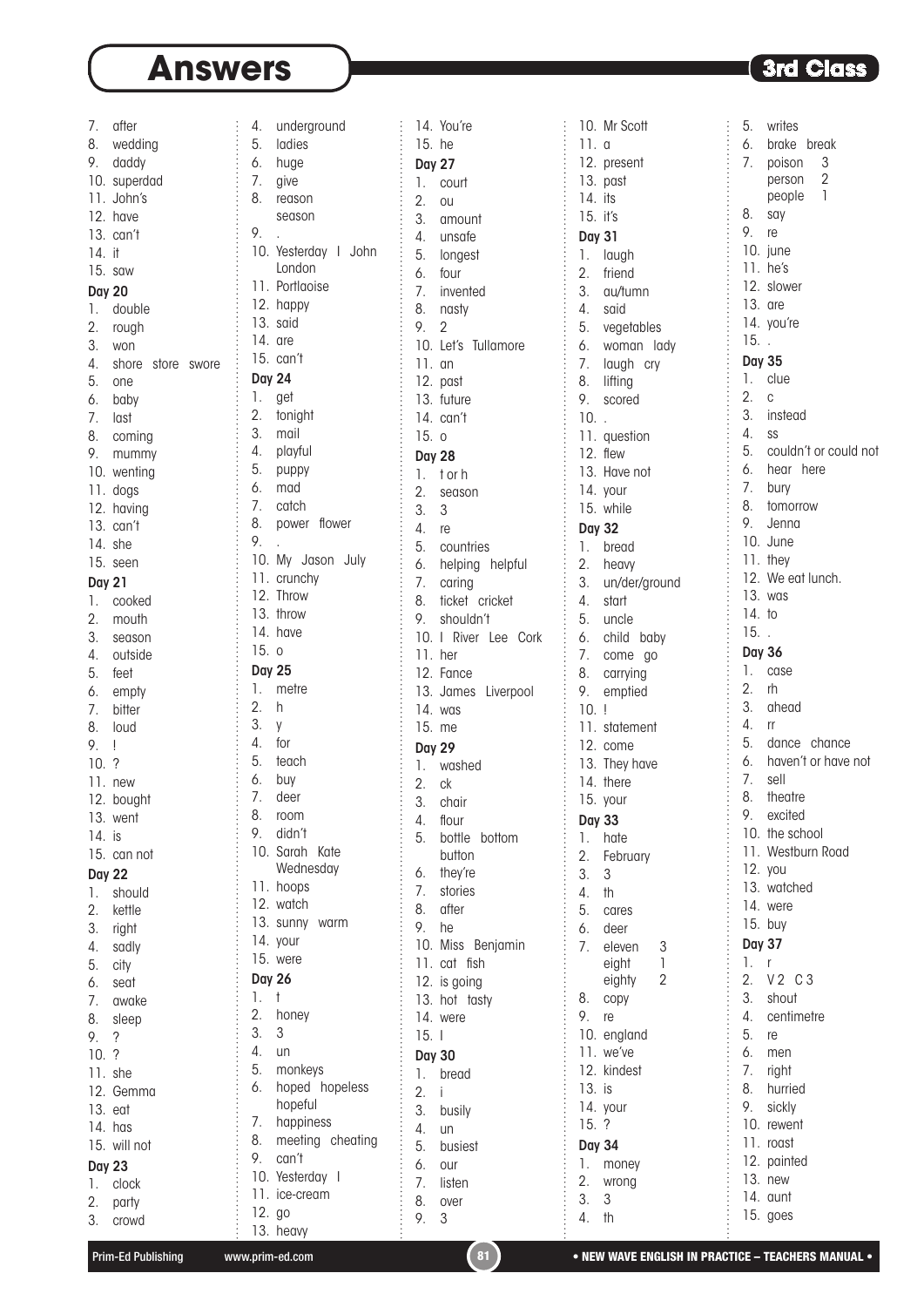$\vdots$ 

 $\overline{a}$ 

| 7.            | after                                              |  |
|---------------|----------------------------------------------------|--|
| 8.            | wedding                                            |  |
|               | 9. daddy                                           |  |
|               | 10. superdad                                       |  |
|               |                                                    |  |
|               | 11. John's                                         |  |
|               | 12. have                                           |  |
|               | 13. can't                                          |  |
| 14. it        |                                                    |  |
|               |                                                    |  |
|               | $15.$ saw                                          |  |
| <b>Day 20</b> |                                                    |  |
|               | 1. double                                          |  |
|               | 2. rough                                           |  |
|               |                                                    |  |
|               | 3. won                                             |  |
|               | 4. shore store swore                               |  |
|               | 5. one                                             |  |
|               | 6. baby                                            |  |
|               |                                                    |  |
|               | 7. last                                            |  |
|               | 8. coming                                          |  |
| 9.            | mummy                                              |  |
|               |                                                    |  |
|               |                                                    |  |
|               | 10. wenting<br>11. dogs<br>12. having<br>13. can't |  |
|               |                                                    |  |
|               |                                                    |  |
|               | 14. she                                            |  |
|               | 15. seen                                           |  |
|               |                                                    |  |
| <b>Day 21</b> |                                                    |  |
|               | 1. cooked                                          |  |
| 2.            | mouth                                              |  |
| 3.            | season                                             |  |
|               | 4. outside                                         |  |
|               |                                                    |  |
|               | 5. feet                                            |  |
|               | 6. empty                                           |  |
|               | 7. bitter                                          |  |
|               | 8. loud                                            |  |
|               |                                                    |  |
| 9. !          |                                                    |  |
| 10.7          |                                                    |  |
|               | 11. new                                            |  |
| 12.           | bought                                             |  |
| 13.           | went                                               |  |
| 14.           | is                                                 |  |
|               |                                                    |  |
| 15.           | can not                                            |  |
| <b>Day 22</b> |                                                    |  |
| 1.            | should                                             |  |
| 2.            |                                                    |  |
|               | kettle                                             |  |
| 3.            | right                                              |  |
| 4.            | sadly                                              |  |
| 5.            | city                                               |  |
| 6.<br>7.      | seat                                               |  |
|               | awake                                              |  |
|               |                                                    |  |
| 8.            | sleep                                              |  |
| 9.            | ?                                                  |  |
| 10.           | $\cdot$ ?                                          |  |
| 11.           | she                                                |  |
|               | 12. Gemma                                          |  |
|               |                                                    |  |
| $13.$ eat     |                                                    |  |
|               | 14. has                                            |  |
| 15.           | will not                                           |  |
| <b>Day 23</b> |                                                    |  |
| 1.            | clock                                              |  |
|               |                                                    |  |
| 2.            | party                                              |  |
| 3.            | crowd                                              |  |

| 4.               |                   |
|------------------|-------------------|
|                  | underground       |
| 5.               | ladies            |
| 6.               | huge              |
| 7.               | give              |
|                  |                   |
| 8.               | reason            |
|                  | season            |
| 9.               |                   |
|                  |                   |
| 10.              | Yesterday   John  |
|                  | London            |
|                  | 11. Portlaoise    |
|                  |                   |
|                  | 12. happy         |
|                  | 13. said          |
| 14. are          |                   |
|                  | 15. can't         |
|                  |                   |
| <b>Day 24</b>    |                   |
| 1.               | get               |
|                  |                   |
| 2.               | tonight           |
| 3.               | mail              |
| 4.               | playful           |
|                  |                   |
| 5.               | puppy             |
| 6.               | mad               |
| 7.               | catch             |
|                  |                   |
| 8.               | power flower      |
| 9.               |                   |
|                  | 10. My Jason July |
|                  |                   |
|                  | 11. crunchy       |
| 12.              | Throw             |
|                  | 13. throw         |
|                  |                   |
|                  | 14. have          |
| 15.0             |                   |
|                  |                   |
|                  |                   |
| <b>Day 25</b>    |                   |
| 1.               | metre             |
|                  | h                 |
| $\overline{2}$ . |                   |
| 3.               | y                 |
| 4.               | for               |
|                  |                   |
| 5.               | teach             |
| 6.               | buy               |
|                  | 7. deer           |
| 8.               | room              |
|                  |                   |
| 9.               | didn't            |
| 10.              | Sarah Kate        |
|                  | Wednesday         |
|                  |                   |
|                  | 11. hoops         |
|                  | 12. watch         |
|                  |                   |
|                  | 13. sunny warm    |
|                  | 14. your          |
| 15.              | were              |
| <b>Day 26</b>    |                   |
|                  |                   |
| 1.               | t                 |
| $\overline{2}$ . | honey             |
| 3.               | 3                 |
|                  |                   |
| 4.               | un                |
| 5.               | monkeys           |
| 6.               | hoped hopeless    |
|                  | hopeful           |
|                  |                   |
| 7.               | happiness         |
| 8.               | meeting cheating  |
| 9.               | can't             |
|                  |                   |
| 10.              | Yesterday<br>I    |
| 11.<br>12. go    | ice-cream         |

|                                                                                   | 14.              | You're                 |  |
|-----------------------------------------------------------------------------------|------------------|------------------------|--|
|                                                                                   | 15.              | he                     |  |
|                                                                                   |                  |                        |  |
|                                                                                   | Day              | 27                     |  |
|                                                                                   | 1.               | court                  |  |
|                                                                                   | $\overline{2}$ . | <b>OU</b>              |  |
|                                                                                   |                  |                        |  |
|                                                                                   | 3.               | amount                 |  |
|                                                                                   | 4.               | unsafe                 |  |
|                                                                                   |                  |                        |  |
|                                                                                   | 5.               | longest                |  |
|                                                                                   | 6.               | four                   |  |
|                                                                                   | 7.               | invented               |  |
|                                                                                   |                  |                        |  |
|                                                                                   | 8.               | nasty                  |  |
|                                                                                   | 9.               | $\overline{c}$         |  |
|                                                                                   | 10.              | Let's<br>Tullamore     |  |
|                                                                                   |                  |                        |  |
|                                                                                   | 11.              | an                     |  |
|                                                                                   | 12.              | past                   |  |
|                                                                                   |                  |                        |  |
|                                                                                   | 13.              | future                 |  |
|                                                                                   | 14.              | can't                  |  |
|                                                                                   | 15.              | $\circ$                |  |
|                                                                                   |                  |                        |  |
|                                                                                   | Day 28           |                        |  |
|                                                                                   | 1.               | t or h                 |  |
|                                                                                   |                  |                        |  |
|                                                                                   | 2.               | season                 |  |
|                                                                                   | 3.               | 3                      |  |
|                                                                                   | 4.               | re                     |  |
|                                                                                   |                  |                        |  |
|                                                                                   | 5.               | countries              |  |
|                                                                                   | 6.               | helping helpful        |  |
|                                                                                   | 7.               |                        |  |
|                                                                                   |                  | caring                 |  |
|                                                                                   | 8.               | ticket cricket         |  |
|                                                                                   | 9.               | shouldn't              |  |
|                                                                                   |                  |                        |  |
|                                                                                   | 10.              | River Lee<br>L<br>Cork |  |
|                                                                                   | 11.              | her                    |  |
|                                                                                   | 12.              | Fance                  |  |
|                                                                                   |                  |                        |  |
|                                                                                   | 13.              | James Liverpool        |  |
|                                                                                   | 14.              | was                    |  |
|                                                                                   |                  |                        |  |
|                                                                                   | 15.              | me                     |  |
|                                                                                   | <b>Day 29</b>    |                        |  |
|                                                                                   | 1.               | washed                 |  |
|                                                                                   |                  |                        |  |
|                                                                                   | 2.               | сk                     |  |
|                                                                                   | 3.               | chair                  |  |
|                                                                                   |                  |                        |  |
|                                                                                   | 4.               | flour                  |  |
|                                                                                   | 5.               | bottle<br>bottom       |  |
|                                                                                   |                  | button                 |  |
|                                                                                   |                  |                        |  |
|                                                                                   | 6.               | they're                |  |
|                                                                                   | 7.               | stories                |  |
|                                                                                   | 8.               | after                  |  |
|                                                                                   |                  |                        |  |
|                                                                                   | 9.               | he                     |  |
|                                                                                   | 10.              | Miss<br>Benjamin       |  |
|                                                                                   | 11.              | cat<br>fish            |  |
|                                                                                   |                  |                        |  |
|                                                                                   | 12.              | is going               |  |
|                                                                                   | 13.              | hot tasty              |  |
|                                                                                   |                  |                        |  |
|                                                                                   | 14.              | were                   |  |
|                                                                                   | 15.              | I                      |  |
|                                                                                   | <b>Day 30</b>    |                        |  |
|                                                                                   |                  |                        |  |
|                                                                                   | 1.               | bread                  |  |
|                                                                                   | $\overline{2}$ . | i                      |  |
|                                                                                   |                  |                        |  |
|                                                                                   | 3.               | busily                 |  |
|                                                                                   | 4.               | un                     |  |
|                                                                                   | 5.               | busiest                |  |
|                                                                                   |                  |                        |  |
|                                                                                   | 6.               | our                    |  |
|                                                                                   | 7.               | listen                 |  |
|                                                                                   |                  |                        |  |
|                                                                                   |                  |                        |  |
| ,我们在一个人的时候,我们在一个人的时候,我们在一个人的时候,我们在一个人的时候,我们在一个人的时候,我们在一个人的时候,我们在一个人的时候,我们在一个人的时候, | 8.<br>9.         | over<br>3              |  |

| Mr Scott                                             |
|------------------------------------------------------|
| a                                                    |
| 12. present                                          |
| 13. past                                             |
| $14.$ its                                            |
| 15. it's                                             |
| <b>Day 31</b>                                        |
| laugh                                                |
| friend                                               |
| au/tumn                                              |
| said                                                 |
| vegetables                                           |
| woman lady                                           |
| laugh cry                                            |
| lifting                                              |
| scored                                               |
| $10.$ .                                              |
| 11. question                                         |
| 12. flew                                             |
| 13. Have not                                         |
| 14. your                                             |
| 15. while                                            |
|                                                      |
| <b>Day 32</b>                                        |
| bread<br>2. heavy                                    |
|                                                      |
| 3. un/der/ground                                     |
| start                                                |
| uncle                                                |
| 6. child baby                                        |
| 7. come<br>gо                                        |
| carrying                                             |
| emptied<br>!                                         |
| 10. .<br>11. statement                               |
| 12. come                                             |
| 13. They have                                        |
| 14. there                                            |
| 15. your                                             |
|                                                      |
| Day 33                                               |
| hate                                                 |
| February                                             |
| 3<br>th                                              |
|                                                      |
| cares                                                |
| deer                                                 |
| eleven<br>eight                                      |
| $\begin{array}{c} 3 \\ 1 \\ 2 \end{array}$<br>eighty |
| copy                                                 |
| re                                                   |
| england                                              |
| we've                                                |
| kindest                                              |
| is                                                   |
| your                                                 |
| ?                                                    |
| Day 34                                               |
| money                                                |
| wrong                                                |
| 3                                                    |
|                                                      |
|                                                      |

| 5.               | writes                   |
|------------------|--------------------------|
| 6.               | brake<br>break           |
| 7.               | 3<br>poison              |
|                  | $\overline{c}$<br>person |
|                  | 1<br>people              |
| 8.               | say                      |
| 9.               | re                       |
| 10.              | june                     |
|                  |                          |
| 11.              | he's                     |
| 12.              | slower                   |
| 13.              | are                      |
| 14.              | you're                   |
| 15.              |                          |
| <b>Day 35</b>    |                          |
| 1.               | clue                     |
| $\overline{2}$ . | C                        |
|                  |                          |
| 3.               | instead                  |
| 4.               | SS                       |
| 5.               | couldn't or could not    |
| 6.               | hear<br>here             |
| 7.               | bury                     |
| 8.               | tomorrow                 |
| 9.               | Jenna                    |
| 10.              | June                     |
| 11.              |                          |
|                  | they                     |
| 12.              | We eat lunch.            |
| 13.              | was                      |
| 14.              | to                       |
| 15.              |                          |
| Day 36           |                          |
| 1.               | case                     |
| $\overline{2}$ . | rh                       |
| 3.               |                          |
|                  | ahead                    |
| 4.               | rr                       |
| 5.               | dance chance             |
| 6.               | haven't or have not      |
| 7.               | sell                     |
| 8.               | theatre                  |
| 9.               | excited                  |
| 10.              | the school               |
|                  | 11. Westburn Road        |
|                  |                          |
|                  | 12. you                  |
|                  | 13. watched              |
| 14.              | were                     |
|                  | 15. buy                  |
| Day 37           |                          |
| 1.               | r                        |
| 2.               | V <sub>2</sub><br>C 3    |
| 3.               | shout                    |
|                  |                          |
| 4.               | centimetre               |
| 5.               | re                       |
| 6.               | men                      |
| 7.               | right                    |
| 8.               | hurried                  |
| 9.               | sickly                   |
| 10.              | rewent                   |
| 11.              |                          |
|                  | roast                    |
| 12.              | painted                  |
|                  | 13. new                  |
|                  | 14. aunt                 |
|                  | 15. goes                 |
|                  |                          |

13. heavy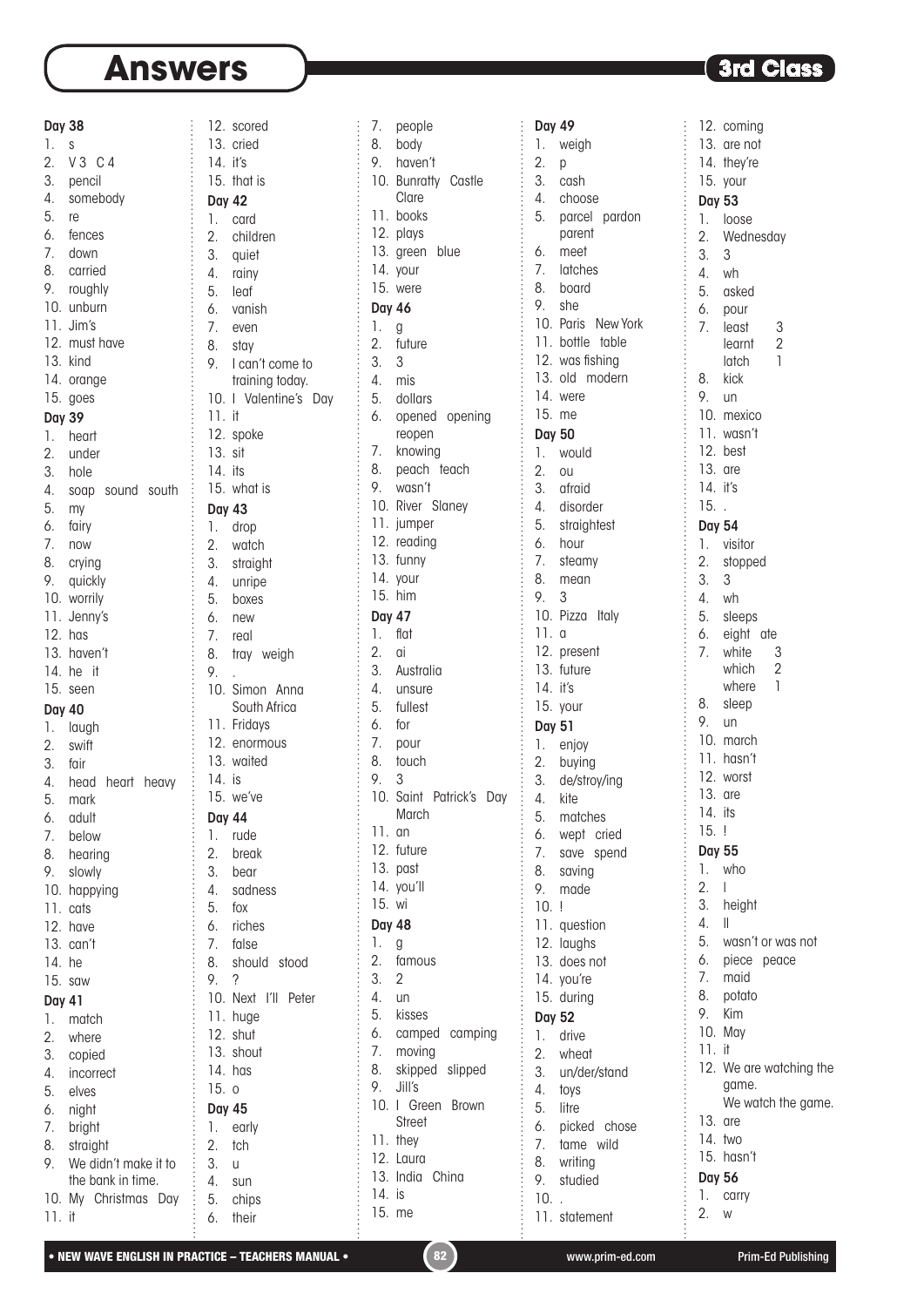#### Day 38

1. s 2. V 3 C 4 3. pencil 4. somebody 5. re 6. fences 7. down 8. carried 9. roughly 10. unburn 11. Jim's 12. must have 13. kind 14. orange 15. goes Day 39 1. heart 2. under 3. hole 4. soap sound south 5. my 6. fairy 7. now 8. crying 9. quickly 10. worrily 11. Jenny's 12. has 13. haven't 14. he it 15. seen Day 40 1. laugh 2. swift 3. fair 4. head heart heavy 5. mark 6. adult 7. below 8. hearing 9. slowly 10. happying 11. cats 12. have 13. can't 14. he 15. saw Day 41 1. match 2. where 3. copied 4. incorrect 5. elves 6. night 7. bright 8. straight 9. We didn't make it to the bank in time. 10. My Christmas Day 11. it

| 12. scored       |                       |
|------------------|-----------------------|
|                  |                       |
|                  |                       |
| 13.              | cried                 |
| 14. it's         |                       |
|                  | 15. that is           |
|                  |                       |
| <b>Day 42</b>    |                       |
| 1.               | card                  |
| $\overline{2}$ . | children              |
| 3.               | quiet                 |
|                  |                       |
| 4.               | rainy                 |
| 5.               | leaf                  |
|                  | 6. vanish             |
|                  | 7. even               |
|                  |                       |
|                  | 8. stay               |
|                  | 9. I can't come to    |
|                  | training today.       |
| 10.              | I Valentine's Day     |
|                  |                       |
| 11.              | it                    |
| 12.              | spoke                 |
| 13.              | sit                   |
| 14.              | its                   |
|                  |                       |
|                  | 15. what is           |
| <b>Day 43</b>    |                       |
| 1.               | drop                  |
|                  |                       |
| 2.               | watch                 |
| 3.               | straight              |
| 4.               | unripe                |
| 5.               | boxes                 |
|                  |                       |
| 6.               | new                   |
| 7.               | real                  |
| 8.               | tray weigh            |
| 9.               |                       |
|                  |                       |
|                  |                       |
|                  | 10. Simon Anna        |
|                  | South Africa          |
|                  |                       |
|                  | 11. Fridays           |
|                  | 12. enormous          |
| 13.              | waited                |
| 14.              | is                    |
| 15.              |                       |
|                  | we've                 |
| Day 44           |                       |
| 1.               | rude                  |
| $\overline{2}$ . | break                 |
|                  |                       |
| 3.               | bear                  |
| 4.               | sadness               |
| 5.               | fox                   |
| 6.               | riches                |
|                  |                       |
| 7.               | false                 |
| 8.               | should stood          |
| 9.               | ?                     |
| 10.              | l'II<br>Next<br>Peter |
|                  |                       |
| 11.              | huge                  |
| 12.              | shut                  |
| 13.              | shout                 |
| 14.              | has                   |
| 15.              | 0                     |
|                  |                       |
| <b>Day 45</b>    |                       |
| 1.               | early                 |
| 2.               | tch                   |
|                  |                       |
| 3.               | U                     |
| 4.               | sun                   |
| 5.<br>6.         | chips                 |

| 7.            | people                 |
|---------------|------------------------|
| 8.            | body                   |
| 9.            | haven't                |
| 10.           | <b>Bunratty Castle</b> |
|               | Clare                  |
| 11.           | books                  |
| 12.           | plays                  |
| 13.           | green blue             |
| 14.           | your                   |
| 15.           | were                   |
|               |                        |
| <b>Day 46</b> |                        |
| 1.            | g                      |
| 2.            | future                 |
| 3.            | 3                      |
| 4.            | mis                    |
| 5.            | dollars                |
| 6.            | opened opening         |
|               | reopen                 |
| 7.            | knowing                |
| 8.            | peach teach            |
| 9.            | wasn't                 |
| 10.           | River Slaney           |
| 11.           | jumper                 |
| 12.           | reading                |
| 13.           | funny                  |
|               |                        |
| 14.           | your                   |
| 15.           | him                    |
| <b>Day 47</b> |                        |
| 1.            | flat                   |
| 2.            | ai                     |
| 3.            | Australia              |
| 4.            | unsure                 |
| 5.            | fullest                |
| 6.            | for                    |
| 7.            | pour                   |
| 8.            | touch                  |
| 9.            | 3                      |
| 10.           | Saint Patrick's<br>Day |
|               | March                  |
| 11.           | an                     |
| 12.           | future                 |
| 13.           |                        |
|               | past                   |
| 14.           | you'll                 |
| 15.           | wi                     |
| Day 48        |                        |
| 1.            | g                      |
| 2.            | famous                 |
| 3.            | 2                      |
| 4.            | un                     |
| 5.            | kisses                 |
| 6.            | camped<br>camping      |
| 7.            | moving                 |
| 8.            | skipped<br>slipped     |
| 9.            | Jill's                 |
| 10.           | I Green<br>Brown       |
|               | Street                 |
| 11.           | they                   |
| 12.           |                        |
| 13.           | Laura                  |
|               | India<br>China         |
| 14.           | is                     |
| 15.           | me                     |

Day 49 1. weigh 2. p 3. cash 4. choose 5. parcel pardon parent 6. meet 7. latches 8. board 9. she 10. Paris New York 11. bottle table 12. was fishing 13. old modern 14. were 15. me Day 50 1. would 2. ou 3. afraid 4. disorder 5. straightest 6. hour 7. steamy 8. mean 9. 3 10. Pizza Italy 11. a 12. present 13. future 14. it's 15. your Day 51 1. enjoy 2. buying 3. de/stroy/ing 4. kite 5. matches 6. wept cried 7. save spend 8. saving 9. made 10. ! 11. question 12. laughs 13. does not 14. you're 15. during Day 52 1. drive 2. wheat 3. un/der/stand 4. toys 5. litre 6. picked chose 7. tame wild 8. writing 9. studied 10. . 11. statement

÷. 12. coming 13. are not 14. they're 15. your Day 53 1. loose 2. Wednesday 3. 3 4. wh 5. asked 6. pour 7. least 3 learnt 2 latch 1 8. kick 9. un 10. mexico 11. wasn't 12. best 13. are 14. it's 15. . Day 54 1. visitor 2. stopped 3. 3 4. wh 5. sleeps 6. eight ate 7. white 3<br>which 2 which 2<br>where 1 where 8. sleep 9. un 10. march 11. hasn't 12. worst 13. are 14. its 15. ! Day 55 1. who 2. l 3. height 4. ll 5. wasn't or was not 6. piece peace 7. maid 8. potato<br>9. Kim 9. Kim 10. May 11. it 12. We are watching the game. We watch the game. 13. are 14. two 15. hasn't Day 56 1. carry 2. w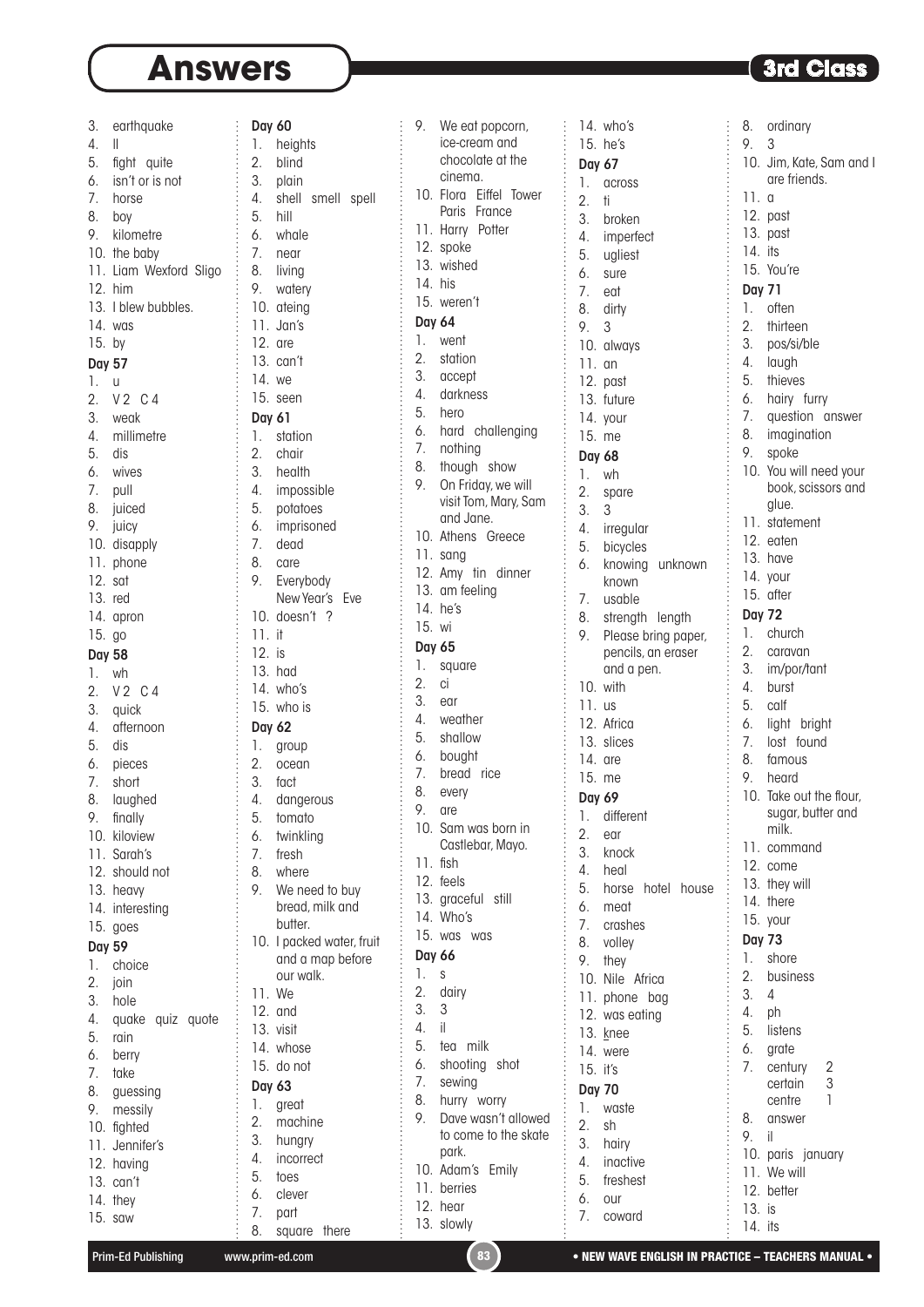ordinary 9. 3

| 3.               | earthquake             |
|------------------|------------------------|
| 4.               | II                     |
| 5.               | fight quite            |
| 6.               |                        |
|                  | isn't or is not        |
| 7.               | horse                  |
| 8.               | boy                    |
| 9.               | kilometre              |
|                  |                        |
|                  | 10. the baby           |
|                  | 11. Liam Wexford Sligo |
|                  | $12.$ him              |
|                  | 13. I blew bubbles.    |
|                  |                        |
|                  | 14. was                |
| 15. by           |                        |
| Day 57           |                        |
| 1.               | $\cup$                 |
|                  |                        |
| $\overline{2}$ . | V2 C4                  |
| 3.               | weak                   |
| 4.               | millimetre             |
| 5.               | dis                    |
|                  |                        |
| 6.               | wives                  |
| 7.               | pull                   |
|                  | 8. juiced              |
|                  | 9. juicy               |
|                  |                        |
|                  | 10. disapply           |
|                  | 11. phone              |
| 12. s            |                        |
| 13. red          |                        |
|                  |                        |
|                  | 14. apron              |
| 15. go           |                        |
| <b>Day 58</b>    |                        |
| 1.               |                        |
|                  | wh                     |
| 2.               | V2 C4                  |
| 3.               | quick                  |
| $\overline{4}$ . | afternoon              |
| 5.               | dis                    |
|                  |                        |
| 6.               | pieces                 |
| 7.               | short                  |
| 8.               | laughed                |
| 9.               | finally                |
|                  |                        |
| 10.              | kiloview               |
|                  | 11. Sarah's            |
|                  | 12. should not         |
|                  | 13. heavy              |
|                  |                        |
|                  | 14. interesting        |
| 15.              | goes                   |
| <b>Day 59</b>    |                        |
| 1.               | choice                 |
|                  |                        |
| $\overline{2}$ . | join                   |
| 3.               | hole                   |
| 4.               | quake quiz quote       |
| 5.               | rain                   |
|                  |                        |
| 6.               | berry                  |
| 7.               | take                   |
| 8.               | guessing               |
| 9.               | messily                |
|                  |                        |
|                  | 10. fighted            |
| 11.              | Jennifer's             |
| 12.              | having                 |
| 13.              | can't                  |
|                  |                        |
|                  | 14. they               |
|                  | 15. saw                |

| <b>Day 60</b>    |                       |
|------------------|-----------------------|
| 1.               | heights               |
| $\overline{2}$ . | blind                 |
| 3.               | plain                 |
| 4.               | shell smell spell     |
| 5. hill          |                       |
|                  |                       |
|                  | 6. whale              |
| 7.               | near                  |
| 8.               | living                |
| 9.               | watery                |
|                  | 10. ateing            |
|                  | 11. Jan's             |
| $12.$ are        |                       |
|                  | 13. can't             |
| 14. we           |                       |
|                  |                       |
|                  | 15. seen              |
| Day 61           |                       |
| 1.               | station               |
| 2.               | chair                 |
| 3.               | health                |
| 4.               | impossible            |
| 5.               | potatoes              |
| 6.               | imprisoned            |
|                  |                       |
| 7.               | dead                  |
| 8.               | care                  |
| 9.               | Everybody             |
|                  | New Year's Eve        |
|                  | 10. doesn't ?         |
| 11. it           |                       |
| 12. is           |                       |
|                  | 13. had               |
|                  | 14. who's             |
|                  |                       |
|                  | 15. who is            |
| Day 62           |                       |
| 1.               | group                 |
| 2.               | ocean                 |
| 3.               | fact                  |
| 4.               | dangerous             |
| 5.               | tomato                |
| 6.               | twinkling             |
| 7.               | fresh                 |
|                  |                       |
| 8.               | where                 |
| 9.               | We need to buy        |
|                  | bread, milk and       |
|                  | butter.               |
| 10.              | I packed water, fruit |
|                  | and a map before      |
|                  | our walk.             |
| 11.              | We                    |
| 12.              | and                   |
|                  | 13. visit             |
|                  | 14. whose             |
|                  | 15. do not            |
| <b>Day 63</b>    |                       |
|                  |                       |
| 1.               | great                 |
| $\overline{2}$ . | machine               |
| 3.               | hungry                |
| 4.               | incorrect             |
| 5.               | toes                  |

| 9.            | We eat popcorn,                                                                                           |
|---------------|-----------------------------------------------------------------------------------------------------------|
|               | ice-cream and                                                                                             |
|               |                                                                                                           |
|               | chocolate at the                                                                                          |
|               | cinema.                                                                                                   |
|               |                                                                                                           |
| 10.           | Flora<br>Eiffel<br>Tower                                                                                  |
|               | France<br>Paris                                                                                           |
|               |                                                                                                           |
| 11.           | Harry Potter                                                                                              |
|               | 12. spoke                                                                                                 |
|               |                                                                                                           |
| 13.           | wished                                                                                                    |
| 14.           |                                                                                                           |
|               | his                                                                                                       |
| 15.           | weren't                                                                                                   |
|               |                                                                                                           |
| <b>Day 64</b> |                                                                                                           |
|               |                                                                                                           |
| 1.            | went                                                                                                      |
| 2.            | station                                                                                                   |
|               |                                                                                                           |
| 3.            | accept                                                                                                    |
| 4.            | darkness                                                                                                  |
|               |                                                                                                           |
| 5.            | hero                                                                                                      |
|               |                                                                                                           |
| 6.            | hard challenging                                                                                          |
| 7.            | nothing                                                                                                   |
|               |                                                                                                           |
| 8.            | though<br>show                                                                                            |
| 9.            | On Friday, we will                                                                                        |
|               |                                                                                                           |
|               | visit Tom, Mary, Sam                                                                                      |
|               | and Jane.                                                                                                 |
|               |                                                                                                           |
| 10.           | Athens Greece                                                                                             |
|               |                                                                                                           |
|               | 11. sang                                                                                                  |
|               | 12. Amy tin dinner                                                                                        |
|               |                                                                                                           |
|               | 13. am feeling                                                                                            |
| 14.           | he's                                                                                                      |
|               |                                                                                                           |
| 15.           | wi                                                                                                        |
|               |                                                                                                           |
| Day 65        |                                                                                                           |
| 1.            | square                                                                                                    |
|               |                                                                                                           |
| 2.            | ci                                                                                                        |
| 3.            |                                                                                                           |
|               | ear                                                                                                       |
| 4.            | weather                                                                                                   |
|               |                                                                                                           |
| 5.            | shallow                                                                                                   |
| 6.            | bought                                                                                                    |
|               |                                                                                                           |
| 7.            | bread rice                                                                                                |
| 8.            | every                                                                                                     |
|               |                                                                                                           |
| 9.            | are                                                                                                       |
|               |                                                                                                           |
| 10.           | Sam was born in                                                                                           |
|               | Castlebar, Mayo.                                                                                          |
|               |                                                                                                           |
| 11.           | fish                                                                                                      |
|               | 12. feels                                                                                                 |
|               |                                                                                                           |
|               | 13. graceful still                                                                                        |
|               | 14. Who's                                                                                                 |
|               |                                                                                                           |
| 15.           | was<br>was                                                                                                |
|               |                                                                                                           |
| <b>Day 66</b> |                                                                                                           |
| 1.            | 的时候的时候的时候的时候的时候的时候的时候的时候的时候的时候的时候的时候的时候,我们的时候,我们的时候,我们的时候,我们的时候,我们的时候,我们的时候,我们的时候,我们的时候,我们的时候,我们的时候我<br>S |
|               |                                                                                                           |
| 2.            | dairy                                                                                                     |
| 3.            | 3                                                                                                         |
|               |                                                                                                           |
| 4.            | il                                                                                                        |
| 5.            | tea<br>milk                                                                                               |
|               |                                                                                                           |
| 6.            | shooting shot                                                                                             |
|               |                                                                                                           |
| 7.            | sewing                                                                                                    |
| 8.            | hurry<br>worry                                                                                            |
|               |                                                                                                           |
| 9.            | Dave wasn't allowed                                                                                       |
|               | to come to the skate                                                                                      |
|               |                                                                                                           |
|               | park.                                                                                                     |
| 10.           | Adam's<br>Emily                                                                                           |
|               |                                                                                                           |
| 11.           | berries                                                                                                   |
|               |                                                                                                           |
|               | 12. hear                                                                                                  |
|               | 13. slowly                                                                                                |

| 14.<br>15.       | who's<br>he's           | 8.<br>9.         |
|------------------|-------------------------|------------------|
| Day 67           |                         | 10.              |
| 1.               | across                  |                  |
| 2.               | ti                      | 11.              |
| 3.               | broken                  | 12.              |
| 4.               | imperfect               | 13.              |
| 5.               | ugliest                 | 14.              |
| 6.               | sure                    | 15.              |
| 7.               | eat                     | Day              |
| 8.               | dirty                   | 1.               |
| 9.               | 3                       | $\overline{2}$ . |
| 10.              | always                  | 3.               |
| 11.              | an                      | 4.               |
| 12.              | past                    | 5.               |
| 13.              | future                  | 6.               |
| 14.              | your                    | 7.               |
| 15.              | me                      | 8.               |
|                  |                         | 9.               |
| <b>Day 68</b>    |                         | 10.              |
| 1.               | wh                      |                  |
| 2.               | spare                   |                  |
| 3.               | 3                       | 11.              |
| 4.               | irregular               | 12.              |
| 5.               | bicycles                | 13.              |
| 6.               | knowing<br>unknown      |                  |
|                  | known                   | 14.              |
| 7.               | usable                  | 15.              |
| 8.               | strength<br>length      | Day              |
| 9.               | Please bring paper,     | 1.               |
|                  | pencils, an eraser      | $\overline{2}$ . |
|                  | and a pen.              | 3.               |
| 10.              | with                    | 4.               |
| 11.              | <b>us</b>               | 5.               |
|                  | 12. Africa              | 6.               |
|                  | 13. slices              | 7.               |
| 14. are          |                         | 8.               |
| 15.              | me                      | 9.               |
| Day 69           |                         | 10.              |
| 1.               | different               |                  |
| $\overline{2}$ . | ear                     |                  |
| 3.               | knock                   | 11.              |
| 4.               | heal                    | 12.              |
| 5.               | horse<br>hotel<br>house | 13.              |
|                  |                         | 14.              |
| 6.               | meat                    | 15.              |
| 7.               | crashes                 | Day              |
| 8.               | volley                  | 1.               |
| 9.               | they                    |                  |
| 10.              | Nile Africa             | 2.               |
| 11.              | phone bag               | 3.               |
| 12.              | was eating              | 4.               |
| 13.              | knee                    | 5.               |
| 14.              | were                    | 6.               |
| 15.              | it's                    | 7.               |
| <b>Day 70</b>    |                         |                  |
| 1.               | waste                   |                  |
| 2.               | sh                      | 8.               |
| 3.               | hairy                   | 9.               |
| 4.               | inactive                | 10.              |
| 5.               | freshest                | 11.              |
| 6.               | our                     | 12.              |
| 7.               | coward                  | 13.              |

Jim, Kate, Sam and I are friends.  $\alpha$ past past its You're v 71 often thirteen pos/si/ble laugh 5. thieves hairy furry question answer imagination 9. spoke You will need your book, scissors and glue. statement eaten have your after  $172$ church caravan im/por/tant burst calf light bright lost found famous heard Take out the flour, sugar, butter and milk. command come they will there your  $y$  73 shore 2. business  $\overline{4}$ ph **istens** grate century 2<br>certain 3 certain centre 1 answer 9. il paris january We will better 13. is

6. clever 7. part

8. square there

14. its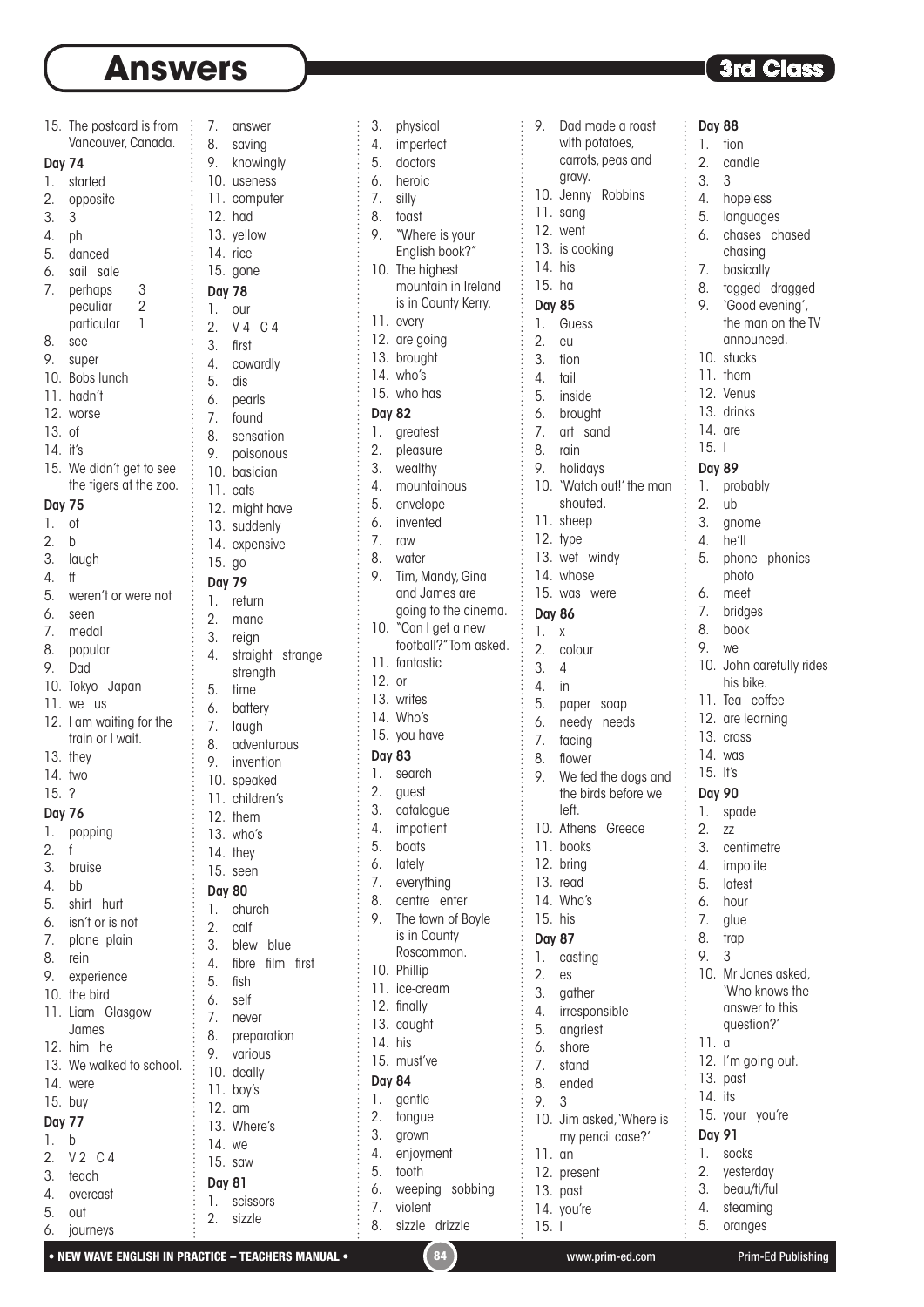Day 74

3. 3 4. ph

13. of 14. it's

Day 75 1. of 2. b

4. ff

15. ? Day 76

2. f

4. bb

Day 77 1. b

5. out 6. journeys

15. The postcard is from Vancouver, Canada. 1. started 2. opposite 5. danced 6. sail sale 7. perhaps 3 peculiar 2 particular 1 8. see 9. super 10. Bobs lunch 11. hadn't 12. worse 15. We didn't get to see the tigers at the zoo. 3. laugh 5. weren't or were not 6. seen 7. medal 8. popular 9. Dad 10. Tokyo Japan 11. we us 12. I am waiting for the train or I wait. 13. they 14. two 1. popping 3. bruise 5. shirt hurt 6. isn't or is not 7. plane plain 8. rein 9. experience 10. the bird 11. Liam Glasgow James 12. him he 13. We walked to school. 14. were 15. buy 2. V 2 C 4 3. teach 4. overcast 7. answer 8. saving 9. knowingly 10. useness 11. computer 12. had 13. yellow 14. rice 15. gone Day 78 1. our 2. V 4 C 4 3. first 4. cowardly 5. dis 6. pearls 7. found 8. sensation 9. poisonous 10. basician 11. cats 12. might have 13. suddenly 14. expensive 15. go Day 79 1. return 2. mane 3. reign 4. straight strange strength 5. time 6. battery 7. laugh 8. adventurous 9. invention 10. speaked 11. children's 12. them 13. who's 14. they 15. seen Day 80 1. church 2. calf 3. blew blue 4. fibre film first 5. fish 6. self 7. never 8. preparation 9. various 10. deally 11. boy's 12. am 13. Where's 14. we 15. saw Day 81 1. scissors

3. physical 4. imperfect 5. doctors 6. heroic 7. silly 8. toast 9. "Where is your English book?" 10. The highest mountain in Ireland is in County Kerry. 11. every 12. are going 13. brought 14. who's 15. who has Day 82 1. greatest 2. pleasure 3. wealthy 4. mountainous 5. envelope 6. invented 7. raw 8. water 9. Tim, Mandy, Gina and James are going to the cinema. 10. "Can I get a new football?" Tom asked. 11. fantastic 12. or 13. writes 14. Who's 15. you have Day 83 1. search 2. guest 3. catalogue 4. impatient 5. boats 6. lately 7. everything 8. centre enter 9. The town of Boyle is in County Roscommon. 10. Phillip 11. ice-cream 12. finally 13. caught 14. his 15. must've Day 84 1. gentle 2. tongue 3. grown 4. enjoyment 5. tooth 6. weeping sobbing 7. violent 8. sizzle drizzle

9. Dad made a roast with potatoes, carrots, peas and gravy. 10. Jenny Robbins 11. sang 12. went 13. is cooking 14. his 15. ha Day 85 1. Guess 2. eu 3. tion 4. tail 5. inside 6. brought 7. art sand 8. rain 9. holidays 10. 'Watch out!' the man shouted. 11. sheep 12. type 13. wet windy 14. whose 15. was were Day 86 1. x 2. colour 3. 4 4. in 5. paper soap 6. needy needs 7. facing 8. flower 9. We fed the dogs and the birds before we left. 10. Athens Greece 11. books 12. bring 13. read 14. Who's 15. his Day 87 1. casting 2. es 3. gather 4. irresponsible 5. angriest 6. shore 7. stand 8. ended 9. 3 10. Jim asked, 'Where is my pencil case?' 11. an 12. present 13. past 14. you're 15. I

### **3rd Class**

Day 88

÷.

1. tion<br>2. can candle 3. 3 4. hopeless 5. languages 6. chases chased chasing 7. basically 8. tagged dragged 9. 'Good evening', the man on the TV announced. 10. stucks 11. them 12. Venus 13. drinks 14. are 15. I Day 89 1. probably 2. ub 3. gnome 4. he'll 5. phone phonics photo 6. meet 7. bridges 8. book 9. we 10. John carefully rides his bike. 11. Tea coffee 12. are learning 13. cross 14. was 15. It's Day 90 1. spade 2. zz 3. centimetre 4. impolite 5. latest 6. hour 7. glue 8. trap 9. 3 10. Mr Jones asked, 'Who knows the answer to this question?' 11. a 12. I'm going out. 13. past 14. its 15. vour vou're Day 91 1. socks 2. yesterday 3. beau/ti/ful 4. steaming 5. oranges

• NEW WAVE ENGLISH IN PRACTICE – TEACHERS MANUAL • (84) www.prim-ed.com Prim-Ed Publishing

2. sizzle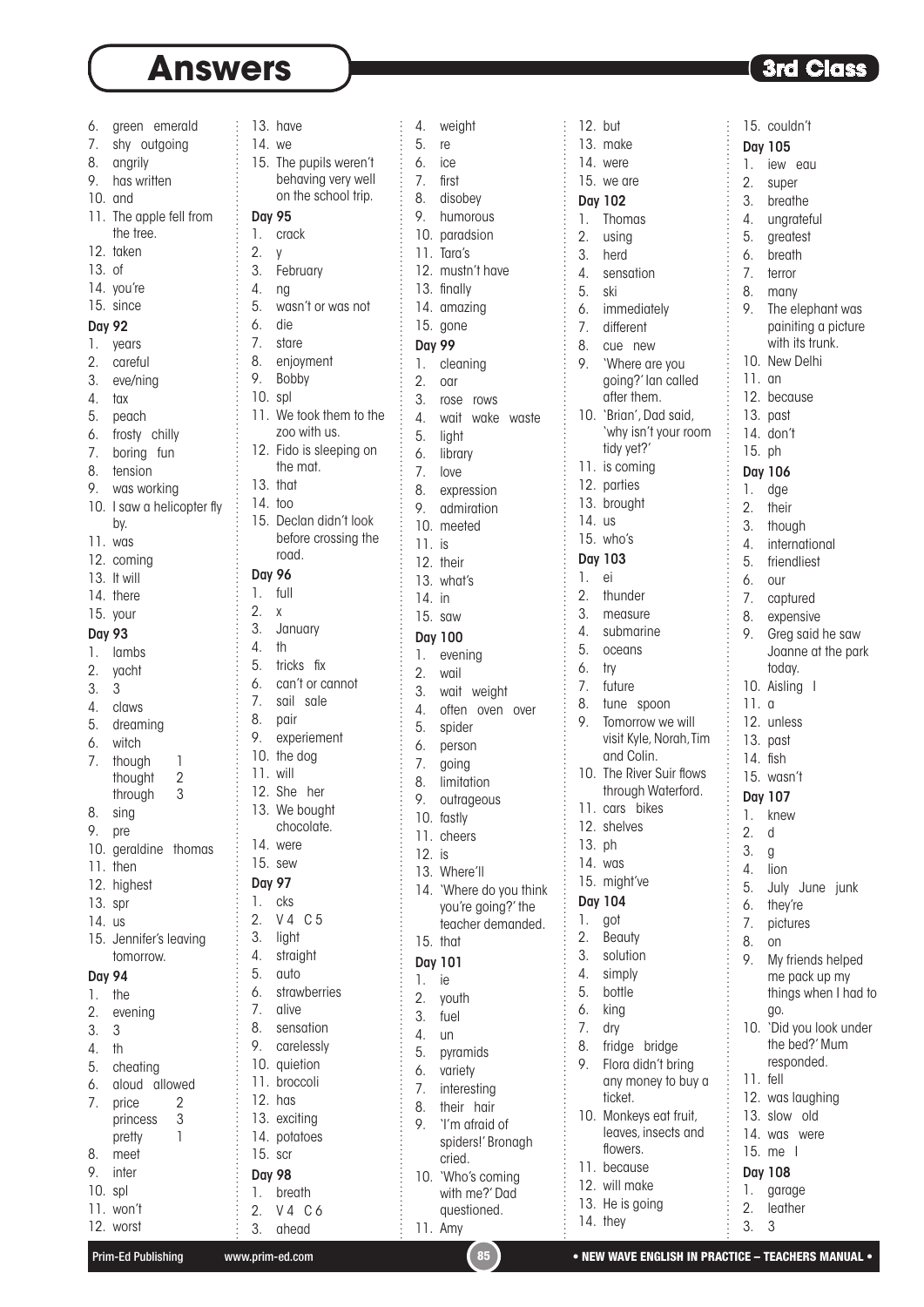| 6.<br>7.<br>8.<br>9.                                                                                                 | green emerald<br>shy outgoing<br>angrily<br>has written                                                                                                                                                      | 13<br>$\frac{1}{2}$<br>15                                                                                         |
|----------------------------------------------------------------------------------------------------------------------|--------------------------------------------------------------------------------------------------------------------------------------------------------------------------------------------------------------|-------------------------------------------------------------------------------------------------------------------|
| 10.<br>11.<br>12.<br>13.<br>14.<br>15.<br><b>Day 92</b><br>1.<br>2.<br>3.<br>4.<br>5.<br>6.<br>7.<br>8.<br>9.<br>10. | and<br>The apple fell from<br>the tree.<br>taken<br>0f<br>you're<br>since<br>years<br>careful<br>eve/ning<br>tax<br>peach<br>frosty chilly<br>boring fun<br>tension<br>was working<br>I saw a helicopter fly | Do<br>1.<br>2.<br>3.<br>4.<br>5.<br>6.<br>7.<br>8.<br>9.<br>$\overline{\phantom{a}}$<br>11<br>12<br>13<br>14      |
| 11.<br>12.<br>13.<br>14.                                                                                             | bv.<br>was<br>coming<br>It will<br>there                                                                                                                                                                     | 15<br>Do<br>1.                                                                                                    |
| 15.<br><b>Day 93</b><br>1.<br>2.<br>3.<br>4.<br>5.<br>6.<br>7.<br>8.                                                 | your<br>lambs<br>yacht<br>3<br>claws<br>dreaming<br>witch<br>though<br>1<br>$\overline{2}$<br>thought<br>3<br>through<br>sing                                                                                | 2.<br>3.<br>4.<br>5.<br>6.<br>7.<br>8.<br>9.<br>$\overline{\phantom{a}}$<br>$\overline{1}$<br>$\frac{1}{2}$<br>13 |
| 9.<br>10.<br>11.<br>12.<br>13.<br>14.<br>15.                                                                         | pre<br>geraldine thomas<br>then<br>highest<br>spr<br>us<br>Jennifer's leaving                                                                                                                                | 14<br>15<br>D<br>1.<br>2.<br>3.<br>4.                                                                             |
| <b>Day 94</b><br>1.<br>2.<br>3.<br>4.<br>5.<br>6.<br>7.<br>8.<br>9.<br>10.<br>11.                                    | tomorrow.<br>the<br>evening<br>3<br>th<br>cheating<br>aloud allowed<br>$\begin{array}{c} 2 \\ 3 \\ 1 \end{array}$<br>price<br>princess<br>pretty<br>meet<br>inter<br>spl<br>won't<br>12. worst               | 5.<br>6.<br>7.<br>8.<br>9.<br>10<br>11<br>12<br>13<br>14<br>15<br>Do<br>1.<br>2.<br>3.                            |

| 13.           | have                             | 4.            | weigh             |
|---------------|----------------------------------|---------------|-------------------|
| 14. we        |                                  | 5.            | re                |
|               | 15. The pupils weren't           | 6.            | ice               |
|               | behaving very well               | 7.            | first             |
|               | on the school trip.              | 8.            | disob             |
| <b>Day 95</b> |                                  | 9.            | humo              |
| 1.            | crack                            | 10.           | parad             |
| 2.            | y                                | 11.           | Tara's            |
| 3.            | February                         | 12.           | must              |
| 4.            |                                  |               | 13. finally       |
| 5.            | ng                               |               |                   |
|               | wasn't or was not                | 14.           | amaz              |
| 6.            | die                              | 15.           | gone              |
| 7.            | stare                            | <b>Day 99</b> |                   |
| 8.            | enjoyment                        | 1.            | clear             |
| 9.            | Bobby                            | 2.            | oar               |
| 10. spl       |                                  | 3.            | rose              |
|               | 11. We took them to the          | 4.            | wait              |
|               | zoo with us.                     | 5.            | light             |
|               | 12. Fido is sleeping on          | 6.            | librar            |
|               | the mat.                         | 7.            | love              |
| 13.           | that                             | 8.            | expre             |
| 14. too       |                                  | 9.            | admi              |
| 15.           | Declan didn't look               | 10.           | meet              |
|               | before crossing the              | 11.           | is                |
|               | road.                            | 12.           | their             |
| <b>Day 96</b> |                                  | 13.           | what <sup>*</sup> |
| 1.            | full                             | 14.           | in                |
| 2.            | X                                | 15.           | saw               |
| 3.            | January                          |               | Day 100           |
| 4.            | th                               | 1.            | eveni             |
| 5.            | tricks<br>fіх                    | 2.            | wail              |
| 6.            | can't or cannot                  | 3.            | wait              |
| 7.            | sail sale                        | 4.            | often             |
| 8.            | pair                             | 5.            | spide             |
| 9.            | experiement                      | 6.            | perso             |
| 10.           | the dog                          | 7.            | going             |
| 11. will      |                                  | 8.            | limito            |
| 12.           | She her                          | 9.            | outra             |
|               | 13. We bought                    | 10.           | fastly            |
|               | chocolate.                       | 11.           | chee              |
| 14.           | were                             | 12.           | is                |
| 15.           | sew                              | 13.           | Wher              |
| <b>Day 97</b> |                                  | 14.           | 'Whe              |
| 1.            | cks                              |               | you'r             |
| 2.            | V <sub>4</sub><br>C <sub>5</sub> |               | teach             |
| 3.            | light                            | 15.           | that              |
| 4.            | straight                         |               | Day 101           |
| 5.            | auto                             | 1.            | ie                |
| 6.            | strawberries                     | 2.            | youth             |
| 7.            | alive                            | 3.            | fuel              |
| 8.            | sensation                        | 4.            |                   |
| 9.            | carelessly                       | 5.            | un                |
| 10.           | quietion                         |               | pyran             |
| 11.           | broccoli                         | 6.            | variet            |
| 12.           | has                              | 7.            | intere            |
| 13.           | exciting                         | 8.            | their             |
| 14.           | potatoes                         | 9.            | 'I'm c            |
| 15.           | scr                              |               | spide<br>cried    |
| <b>Day 98</b> |                                  | 10.           | 'Who              |
| 1.            |                                  |               |                   |
|               |                                  |               |                   |
|               | breath                           |               | with ı            |
| 2.<br>3.      | V4 C6<br>ahead                   |               | quest<br>11. Amy  |

| 4.               | weight                                     |  |
|------------------|--------------------------------------------|--|
|                  |                                            |  |
| 5.               | re                                         |  |
| 6.               | ice                                        |  |
|                  |                                            |  |
| 7.               | first                                      |  |
| 8.               | disobey                                    |  |
|                  |                                            |  |
| 9.               | humorous                                   |  |
|                  | 2. namorous<br>10. paradsion<br>11. Tara's |  |
|                  |                                            |  |
|                  |                                            |  |
|                  | 12. mustn't have                           |  |
|                  |                                            |  |
|                  | 13. finally                                |  |
|                  | 14. amazing                                |  |
|                  |                                            |  |
|                  | 15. gone                                   |  |
| Day 99           |                                            |  |
|                  |                                            |  |
| 1.               | cleaning                                   |  |
| $\overline{2}$ . | oar                                        |  |
|                  |                                            |  |
| 3.               | rose rows                                  |  |
|                  | 4. wait wake waste                         |  |
|                  |                                            |  |
|                  | 5. light                                   |  |
|                  | 6. library                                 |  |
|                  |                                            |  |
|                  | 7. love                                    |  |
|                  | 8. expression                              |  |
|                  |                                            |  |
|                  | 9. admiration                              |  |
|                  | 10. meeted                                 |  |
|                  |                                            |  |
| $11.$ is         |                                            |  |
|                  | 12. their                                  |  |
|                  |                                            |  |
|                  | 13. what's                                 |  |
| 14. in           |                                            |  |
|                  |                                            |  |
|                  | $15.$ saw                                  |  |
|                  | <b>Day 100</b>                             |  |
|                  |                                            |  |
| 1.               | evening                                    |  |
| 2.               | wail                                       |  |
|                  |                                            |  |
| 3.               | wait weight                                |  |
| 4.               | often oven<br>over                         |  |
|                  |                                            |  |
| 5.               | spider                                     |  |
| 6.               | person                                     |  |
|                  |                                            |  |
| 7.               | going                                      |  |
| 8.               | limitation                                 |  |
|                  |                                            |  |
|                  | 9. outrageous                              |  |
| 10.              | fastly                                     |  |
|                  |                                            |  |
|                  | 11. cheers                                 |  |
| 12. is           |                                            |  |
|                  |                                            |  |
| 13.              | Where'll                                   |  |
|                  | 14. 'Where do you think                    |  |
|                  | you're going?' the                         |  |
|                  |                                            |  |
|                  | teacher demanded.                          |  |
| 15.              | that                                       |  |
|                  |                                            |  |
|                  | <b>Day 101</b>                             |  |
| 1.               | ie                                         |  |
|                  |                                            |  |
| 2.               | youth                                      |  |
| 3.               | fuel                                       |  |
|                  |                                            |  |
| 4.               | un                                         |  |
| 5.               | pyramids                                   |  |
|                  |                                            |  |
| 6.               | variety                                    |  |
| 7.               | interesting                                |  |
|                  |                                            |  |
| 8.               | their<br>hair                              |  |
| 9.               | 'I'm afraid of                             |  |
|                  |                                            |  |
|                  | spiders!' Bronagh                          |  |
|                  | cried.                                     |  |
| 10.              | 'Who's coming                              |  |
|                  |                                            |  |
|                  | with me?' Dad                              |  |
|                  | questioned.                                |  |
| 11.              | Amy                                        |  |
|                  |                                            |  |

|                  | 12. but                            |          | 15. couldn't                        |
|------------------|------------------------------------|----------|-------------------------------------|
| 13.              | make                               |          | Day 105                             |
| 14.              | were                               | 1.       | iew eau                             |
|                  | 15. we are                         | 2.       | super                               |
|                  | Day 102                            | 3.       | breathe                             |
| 1.               | Thomas                             | 4.       | ungratefu                           |
| $\overline{2}$ . | using                              | 5.       | greatest                            |
| 3.               | herd                               | 6.       | breath                              |
| 4.               | sensation                          | 7.       | terror                              |
| 5.               | ski                                | 8.       | many                                |
| 6.               | immediately                        | 9.       | The eleph                           |
| 7.               | different                          |          | painiting                           |
| 8.               | cue new                            |          | with its tru                        |
| 9.               | 'Where are you                     | 10.      | New Delh                            |
|                  | going?' lan called                 |          | $11.$ an                            |
|                  | after them.                        |          | 12. because                         |
| 10.              | 'Brian', Dad said,                 |          | 13. past                            |
|                  | 'why isn't your room<br>tidy yet?' |          | 14. don't                           |
| 11.              | is coming                          |          | 15. ph                              |
| 12.              | parties                            |          | Day 106                             |
| 13.              | brought                            | 1.       | dge                                 |
| 14.              | <b>US</b>                          | 2.       | their                               |
| 15.              | who's                              | 3.       | though                              |
|                  | Day 103                            | 4.       | internatio                          |
| 1.               | ei                                 | 5.<br>6. | friendliest                         |
| 2.               | thunder                            | 7.       | our                                 |
| 3.               | measure                            | 8.       | captured<br>expensive               |
| 4.               | submarine                          | 9.       | Greg said                           |
| 5.               | oceans                             |          | Joanne a                            |
| 6.               | try                                |          | today.                              |
| 7.               | future                             | 10.      | Aisling<br>$\overline{\phantom{a}}$ |
| 8.               | tune spoon                         | 11.0     |                                     |
| 9.               | Tomorrow we will                   |          | 12. unless                          |
|                  | visit Kyle, Norah, Tim             |          | 13. past                            |
|                  | and Colin.                         |          | 14. fish                            |
| 10.              | The River Suir flows               |          | 15. wasn't                          |
|                  | through Waterford.                 |          | Day 107                             |
| 11.              | cars bikes                         | 1.       | knew                                |
| 12.              | shelves                            | 2.       | d                                   |
| 13.              | ph                                 | 3.       | g                                   |
| 14.              | was                                | 4.       | lion                                |
| 15.              | might've                           | 5.       | July Jun                            |
|                  | <b>Day 104</b>                     | 6.       | they're                             |
| 1.<br>2.         | got                                | 7.       | pictures                            |
| 3.               | Beauty<br>solution                 | 8.       | on                                  |
| 4.               | simply                             | 9.       | My friend:                          |
| 5.               | bottle                             |          | me pack<br>things wh                |
| 6.               | king                               |          | go.                                 |
| 7.               | dry                                | 10.      | 'Did you I                          |
| 8.               | fridge bridge                      |          | the bed?'                           |
| 9.               | Flora didn't bring                 |          | responde                            |
|                  | any money to buy a                 |          | 11. fell                            |
|                  | ticket.                            |          | 12. was laugh                       |
| 10.              | Monkeys eat fruit,                 | 13.      | slow old                            |
|                  | leaves, insects and                |          | 14. was wer                         |
|                  | flowers.                           |          | 15. me<br>$\overline{\phantom{a}}$  |
| 11.              | because                            |          | Day 108                             |
|                  | 12. will make                      | 1.       | garage                              |
|                  | 13. He is going                    | 2.       | leather                             |

| 3.               | breathe              |
|------------------|----------------------|
| 4.               | ungrateful           |
| 5.               | greatest             |
| 6.               | breath               |
| 7.               | terror               |
| 8.               | many                 |
| 9.               | The elephant was     |
|                  | painiting a picture  |
|                  | with its trunk.      |
| 10.              | New Delhi            |
| 11.              | an                   |
| 12.              | because              |
| 13.              | past                 |
| 14.              | r<br>don't           |
| 15. ph           |                      |
|                  |                      |
|                  | Day 106              |
| 1.               | dge                  |
| $\overline{2}$ . | their                |
| 3.               | though               |
| 4.               | international        |
| 5.               | friendliest          |
| 6.               | our                  |
| 7.               | captured             |
| 8.               | expensive            |
| 9.               | Greg said he saw     |
|                  | Joanne at the park   |
|                  | today.               |
| 10.              | Aisling<br>I         |
| 11.              | a                    |
| 12.              | unless               |
| 13.              | past                 |
| 14.              | fish                 |
| 15.              | wasn't               |
|                  | Day 107              |
| 1.               | knew                 |
| $\overline{2}$ . | d                    |
| 3.               | g                    |
| 4.               | lion                 |
| 5.               | July<br>June junk    |
| 6.               | they're              |
| 7.               | pictures             |
| 8.               | on                   |
| 9.               | My friends helped    |
|                  | me pack up my        |
|                  | things when I had to |
|                  | go.                  |
| 10.              | 'Did you look under  |
|                  | the bed?' Mum        |
|                  | responded.           |
| 11.              | fell                 |
|                  | 12. was laughing     |
|                  | 13. slow<br>old      |
|                  | 14. was were         |
| 15.              | me<br>I              |
|                  | Day 108              |
| 1.               |                      |
|                  | garage               |

2. leather 3. 3

13. He is going 14. they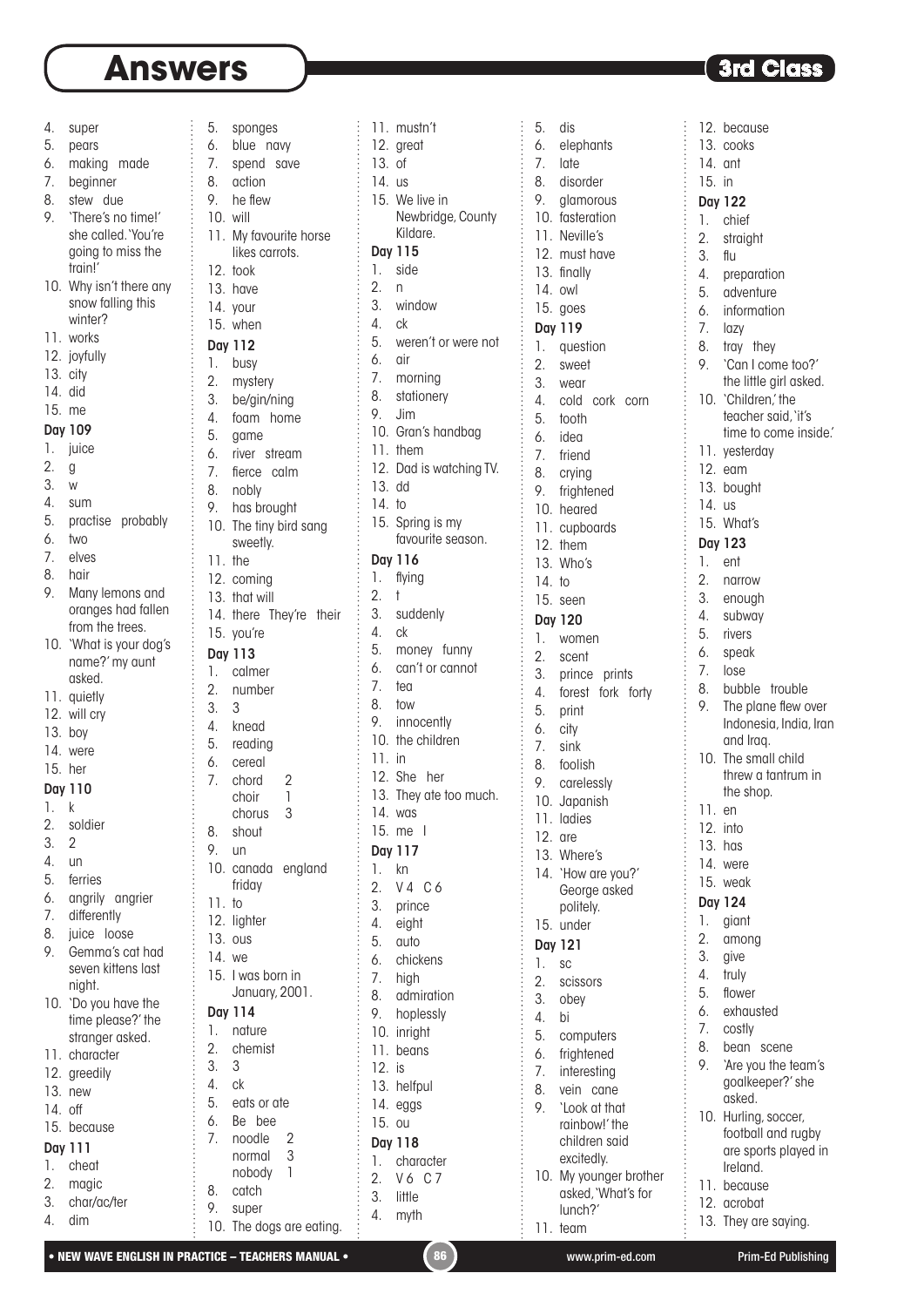$\vdots$ 

5. sponges

4. super

- 5. pears
- 6. making made
- 7. beginner
- 8. stew due
- 9. 'There's no time!' she called.'You're going to miss the train!'
- 10. Why isn't there any snow falling this winter?
- 11. works
- 12. joyfully
- 13. city
- 14. did
- 15. me

#### Day 109

- 1. juice
- 2. g
- 3. w
- 4. sum
- 5. practise probably
- 6. two
- 7. elves
- 8. hair
- 9. Many lemons and oranges had fallen from the trees.
- 10. 'What is your doa's name?'my aunt
- asked. 11. quietly
- 12. will cry
- 13. boy
- 14. were
- 15. her
- Day 110
- 1. k
- 2. soldier
- 3. 2
- 4. un
- 5. ferries
- 6. angrily angrier
- 7. differently
- 8. juice loose
- 9. Gemma's cat had seven kittens last night.
- 10. 'Do you have the time please?' the stranger asked.
- 11. character
- 12. greedily
- 13. new
- 14. off
- 15. because
- Day 111 1. cheat
- 2. magic
- 3. char/ac/ter
- 4. dim

| 7.               | blue<br>navy            |
|------------------|-------------------------|
|                  | spend<br>save           |
| 8.               | action                  |
| 9.               | he flew                 |
| 10.              | will                    |
| 11.              | My favourite horse      |
|                  | likes carrots.          |
|                  |                         |
| 12.              | took                    |
| 13.              | have                    |
| 14.              | your                    |
|                  | 15. when                |
|                  | Day 112                 |
| 1.               | busy                    |
| $\overline{2}$ . | mystery                 |
| 3.               | be/gin/ning             |
| 4.               | foam home               |
| 5.               |                         |
|                  | game                    |
| 6.               | river stream            |
| 7.               | fierce<br>calm          |
| 8.               | nobly                   |
| 9.               | has brought             |
| 10.              | The tiny bird sang      |
|                  | sweetly.                |
| 11.              | the                     |
| 12.              | coming                  |
| 13.              | that will               |
| 14.              | there<br>They're their  |
| 15.              |                         |
|                  | you're                  |
|                  | Day 113                 |
| 1.               | calmer                  |
| 2.               | number                  |
| 3.               | 3                       |
| 4.               | knead                   |
| 5.               | reading                 |
| 6.               | cereal                  |
| 7.               | chord<br>$\overline{c}$ |
|                  | $\overline{1}$<br>choir |
|                  | 3<br>chorus             |
|                  |                         |
|                  |                         |
| 8.               | shout                   |
| 9.               | un                      |
| 10.              | canada england          |
|                  | friday                  |
| 11.              | to                      |
| 12.              | lighter                 |
| 13.              | ous                     |
| 14.              | we                      |
| 15.              | I was born in           |
|                  | January, 2001.          |
|                  |                         |
|                  | Day 114                 |
| 1.               | nature                  |
| 2.               | chemist                 |
| 3.               | 3                       |
| 4.               | сk                      |
| 5.               | eats or ate             |
| 6.               | Вe<br>bee               |
| 7.               | noodle                  |
|                  | normal                  |
|                  | nobody                  |
| 8.               | catch                   |
| 9.               | super                   |

|          | 11. mustn't                      | 5.         | dis            |
|----------|----------------------------------|------------|----------------|
|          | 12. great                        | 6.         | eleph          |
| 13.      | 0f                               | 7.         | late           |
| 14. us   |                                  | 8.         | disor          |
|          | 15. We live in                   | 9.         | glam           |
|          | Newbridge, County                | 10.        | faster         |
|          | Kildare.                         | 11.        | Nevil          |
| 1.       | Day 115                          |            | 12. must       |
| 2.       | side<br>n                        |            | 13. finally    |
| 3.       | window                           | 14. owl    |                |
| 4.       | ck                               |            | 15. goes       |
| 5.       | weren't or were not              |            | Day 119        |
| 6.       | air                              | 1.         | ques           |
| 7.       | morning                          | 2.<br>3.   | swee           |
| 8.       | stationery                       | 4.         | wear<br>cold   |
| 9.       | Jim                              | 5.         | tooth          |
|          | 10. Gran's handbag               | 6.         | idea           |
|          | 11. them                         | 7.         | friend         |
|          | 12. Dad is watching TV.          | 8.         | crying         |
| 13. dd   |                                  | 9.         | fright         |
| 14. to   |                                  |            | 10. hear       |
| 15.      | Spring is my                     |            | 11. cupb       |
|          | favourite season.                |            | 12. them       |
|          | Day 116                          |            | 13. Who'       |
| 1.       | flying                           | 14. to     |                |
| 2.       | t                                |            | 15. seen       |
| 3.       | suddenly                         |            | Day 120        |
| 4.       | ck                               | 1.         | <b>wom</b>     |
| 5.       | money funny                      | 2.         | scent          |
| 6.       | can't or cannot                  | 3.         | princ          |
| 7.       | tea                              | 4.         | fores          |
| 8.       | tow                              | 5.         | print          |
| 9.       | innocently<br>10. the children   | 6.         | city           |
| $11.$ in |                                  | 7.         | sink           |
|          | 12. She<br>her                   | 8.         | foolis         |
|          | 13. They ate too much.           | 9.         | carel          |
|          | 14. was                          |            | 10. Japa       |
| 15.      | me l                             | 11.        | ladie          |
|          | Day 117                          | 12.        | are            |
| 1.       | kn                               | 13.<br>14. | Wher           |
| 2.       | V <sub>4</sub><br>C <sub>6</sub> |            | `How<br>Geor   |
| 3.       | prince                           |            | polite         |
| 4.       | eight                            | 15.        | unde           |
| 5.       | auto                             |            | <b>Day 121</b> |
| 6.       | chickens                         | 1.         | SC             |
| 7.       | high                             | 2.         | sciss          |
| 8.       | admiration                       | 3.         | obey           |
| 9.       | hoplessly                        | 4.         | bi             |
| 10.      | inright                          | 5.         | comp           |
| 11.      | beans                            | 6.         | fright         |
| 12.      | is                               | 7.         | intere         |
| 13.      | helfpul                          | 8.         | vein           |
| 14.      | eggs                             | 9.         | 'Look          |
| 15.      | <b>OU</b>                        |            | rainb          |
|          | Day 118                          |            | child          |
| 1.       | character                        |            | excite         |
| 2.       | V6<br>C 7                        | 10.        | My yo<br>asked |
| 3.       | little                           |            | lunch          |
| 4.       | myth                             | 11.        | team           |
|          |                                  |            |                |

5. dis 6. elephants 7. late 8. disorder 9. glamorous 10. fasteration 11. Neville's 12. must have 13. finally 14. owl 15. goes Day 119 1. question 2. sweet 3. wear 4. cold cork corn 5. tooth 6. idea 7. friend 8. crying 9. frightened 10. heared 11. cupboards 12. them 13. Who's 14. to 15. seen Day 120 1. women 2. scent 3. prince prints 4. forest fork forty 5. print 6. city 7. sink 8. foolish 9. carelessly 10. Japanish 11. ladies 12. are 13. Where's 14. 'How are you?' George asked politely. 15. under Day 121 1. sc 2. scissors 3. obey 4. bi 5. computers 6. frightened 7. interesting 8. vein cane 9. 'Look at that rainbow!' the children said excitedly. 10. My younger brother asked,'What's for

# **3rd Class**

12. because

13. cooks 14. ant 15. in Day 122 1. chief 2. straight 3. flu 4. preparation 5. adventure 6. information 7. lazy 8. tray they 9. 'Can I come too?' the little girl asked. 10. 'Children,' the teacher said,'it's time to come inside.' 11. yesterday 12. eam 13. bought 14. us 15. What's Day 123 1. ent 2. narrow 3. enough 4. subway 5. rivers 6. speak 7. lose 8. bubble trouble 9. The plane flew over Indonesia, India, Iran and Iraq. 10. The small child threw a tantrum in the shop. 11. en 12. into 13. has 14. were 15. weak Day 124 1. giant 2. among 3. give 4. truly 5. flower 6. exhausted 7. costly 8. bean scene 9. 'Are you the team's goalkeeper?' she asked. 10. Hurling, soccer, football and rugby are sports played in Ireland. 11. because 12. acrobat

lunch?'

13. They are saying.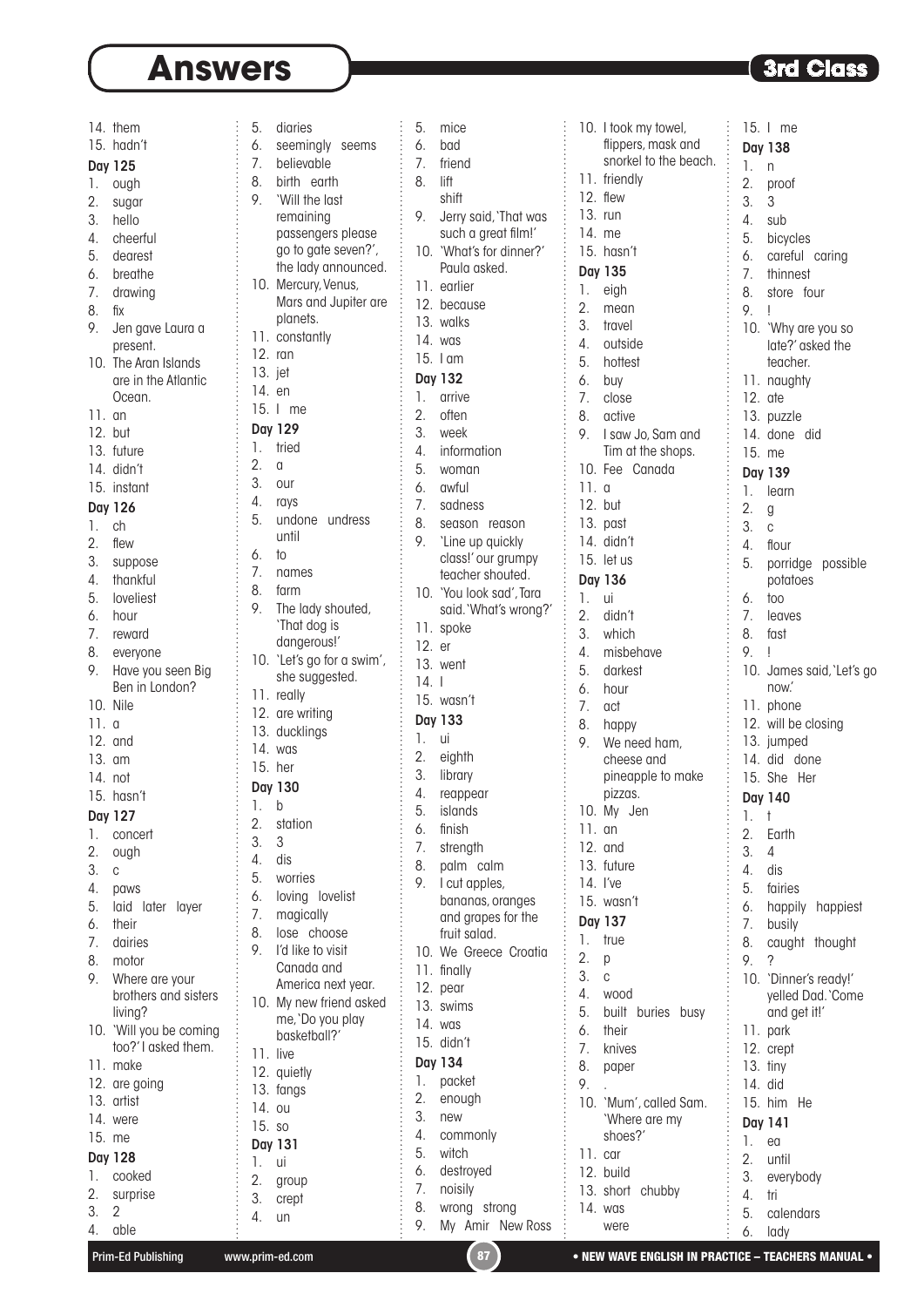|          | 14. them                | 5.             | diaries                |
|----------|-------------------------|----------------|------------------------|
|          | 15. hadn't              | 6.             | seemingly seer         |
|          |                         | 7 <sub>1</sub> | believable             |
|          | Day 125                 | 8.             | birth earth            |
| 1.       | ough                    | 9.             | 'Will the last         |
| 2.       | sugar                   |                |                        |
| 3.       | hello                   |                | remaining              |
|          | 4. cheerful             |                | passengers plea        |
|          | 5. dearest              |                | go to gate seven       |
|          | 6. breathe              |                | the lady announ        |
|          | 7. drawing              |                | 10. Mercury, Venus,    |
| 8.       | fіх                     |                | Mars and Jupite        |
| 9.       | Jen gave Laura a        |                | planets.               |
|          | present.                |                | 11. constantly         |
| 10.      | The Aran Islands        | 12. ran        |                        |
|          | are in the Atlantic     | 13. jet        |                        |
|          | Ocean.                  | 14. en         |                        |
| 11.      | an                      |                | 15. I me               |
| 12.      | but                     |                | Day 129                |
|          | 13. future              | 1.             | tried                  |
|          | 14. didn't              | 2.             | α                      |
|          | 15. instant             | 3.             | our                    |
|          |                         |                | 4. rays                |
|          | Day 126                 | 5.             | undone undres          |
| 1.       | ch                      |                | until                  |
| 2.       | flew                    | 6.             | to                     |
| 3.       | suppose                 | 7.             |                        |
| 4.       | thankful                | 8.             | names                  |
| 5.       | loveliest               |                | farm                   |
|          | 6. hour                 | 9.             | The lady shouted       |
|          | 7. reward               |                | 'That dog is           |
| 8.       | everyone                |                | dangerous!'            |
| 9.       | Have you seen Big       |                | 10. 'Let's go for a sw |
|          | Ben in London?          |                | she suggested.         |
| 10. Nile |                         |                | 11. really             |
| 11.9     |                         |                | 12. are writing        |
| 12. and  |                         |                | 13. ducklings          |
| 13. am   |                         |                | 14. was                |
| 14. not  |                         | 15. her        |                        |
|          | 15. hasn't              |                | Day 130                |
|          |                         | 1.             | b                      |
|          | Day 127                 | 2.             | station                |
| 1.       | concert                 | 3.             | 3                      |
| 2.       | ough                    | 4.             | dis                    |
| 3.       | C                       | 5.             | worries                |
| 4.       | paws                    | 6.             | loving lovelist        |
| 5.       | laid later layer        | 7.             | magically              |
| 6.       | their                   | 8.             | lose choose            |
| 7.       | dairies                 | 9.             | I'd like to visit      |
| 8.       | motor                   |                | Canada and             |
| 9.       | Where are your          |                | America next yer       |
|          | brothers and sisters    | 10.            | My new friend as       |
|          | living?                 |                | me, `Do you play       |
|          | 10. 'Will you be coming |                | basketball?'           |
|          | too?'I asked them.      | 11. live       |                        |
|          | 11. make                |                | 12. quietly            |
|          | 12. are going           |                | 13. fangs              |
|          | 13. artist              | 14.            |                        |
|          | 14. were                |                | ou                     |
| 15. me   |                         | 15.            | SO                     |
|          | Day 128                 |                | Day 131                |
| 1.       | cooked                  | 1.             | ui                     |
|          |                         | 2.             | group                  |
| 2.       | surprise                | 3.             | crept                  |
| 3.       | 2                       | 4.             | un                     |

| ЭS              | 5.          | mice                                             |  |
|-----------------|-------------|--------------------------------------------------|--|
| ningly seems    | 6.          | bad                                              |  |
| vable           | 7.          | friend                                           |  |
| earth           | 8.          | lift                                             |  |
| the last        |             | shift                                            |  |
| ining           | 9.          | Jerry said, 'That was                            |  |
| engers please   |             | such a great film!'                              |  |
| gate seven?',   |             | 10. 'What's for dinner?'                         |  |
| ady announced.  |             | Paula asked.                                     |  |
| ury, Venus,     |             | 11. earlier                                      |  |
| and Jupiter are |             | 12. because                                      |  |
| ets.            |             | 13. walks                                        |  |
| tantly          |             | 14. was                                          |  |
|                 |             | 15. I am                                         |  |
|                 |             | Day 132                                          |  |
|                 | 1.          | arrive                                           |  |
| Э               | 2.          | often                                            |  |
|                 |             | 3. week<br>4. information                        |  |
|                 |             |                                                  |  |
|                 | 5.          | woman                                            |  |
|                 | 6.          | awful                                            |  |
|                 | 7.          | sadness                                          |  |
| undress<br>ne   | 8.          | season reason                                    |  |
|                 | 9.          | 'Line up quickly                                 |  |
| ЭS              |             | class!' our grumpy                               |  |
|                 |             | teacher shouted.                                 |  |
| ady shouted,    |             | 10. 'You look sad', Tara<br>said.'What's wrong?' |  |
| dog is          |             | 11. spoke                                        |  |
| erous!'         | 12. er      |                                                  |  |
| go for a swim', |             | 13. went                                         |  |
| suggested.      | 14.1        |                                                  |  |
|                 |             | 15. wasn't                                       |  |
| riting          |             |                                                  |  |
| lings           |             | Day 133                                          |  |
|                 | 1. ui<br>2. |                                                  |  |
|                 | 3.          | eighth                                           |  |
|                 |             | library                                          |  |
|                 |             | 4. reappear<br>5. islands                        |  |
| ρn              | 6.          | finish                                           |  |
|                 | 7.          | strength                                         |  |
|                 | 8.          | palm calm                                        |  |
| es              | 9.          | I cut apples,                                    |  |
| g lovelist      |             | bananas, oranges                                 |  |
| cally           |             | and grapes for the                               |  |
| choose          |             | fruit salad.                                     |  |
| e to visit      |             | 10. We Greece Croatia                            |  |
| ıda and         |             | 11. finally                                      |  |
| ica next year.  |             | 12. pear                                         |  |
| ew friend asked |             | 13. swims                                        |  |
| Do you play     |             | 14. was                                          |  |
| etball?'        |             | 15. didn't                                       |  |
|                 |             | Day 134                                          |  |
| Ίy              | 1.          | packet                                           |  |
| ś               | 2.          | enough                                           |  |
|                 | 3.          | new                                              |  |
|                 | 4.          | commonly                                         |  |
|                 | 5.          | witch                                            |  |
|                 | 6.          | destroyed                                        |  |
|                 | 7.          | noisily                                          |  |
|                 | 8.          | wrong strong                                     |  |
|                 | 9.          | My Amir New Ross                                 |  |

|           | 10. I took my towel,                                                                                  |         | 15. I me                  |
|-----------|-------------------------------------------------------------------------------------------------------|---------|---------------------------|
|           | flippers, mask and                                                                                    |         | Day 138                   |
|           | snorkel to the beach.                                                                                 | 1.      | n                         |
|           | 11. friendly                                                                                          | 2.      |                           |
|           | 12. flew                                                                                              |         | proof                     |
| 13.       | run                                                                                                   | 3.      | 3                         |
|           |                                                                                                       |         | 4. sub                    |
| 14.       | me                                                                                                    |         | 5. bicycles               |
|           | 15. hasn't                                                                                            |         | 6. careful caring         |
|           | Day 135                                                                                               | 7.      | thinnest                  |
| 1.        | eigh                                                                                                  | 8.      | store four                |
| 2.        | mean                                                                                                  | 9.      | Ţ                         |
| 3.        | travel                                                                                                |         |                           |
| 4.        | outside                                                                                               |         | 10. 'Why are you so       |
|           |                                                                                                       |         | late?' asked the          |
| 5.        | hottest                                                                                               |         | teacher.                  |
| 6.        | buy                                                                                                   |         | 11. naughty               |
| 7.        | close                                                                                                 | 12. ate |                           |
| 8.        | active                                                                                                |         | 13. puzzle                |
| 9.        | I saw Jo, Sam and                                                                                     |         | 14. done did              |
|           | Tim at the shops.                                                                                     | 15. me  |                           |
|           | 10. Fee Canada                                                                                        |         | Day 139                   |
| 11.9      |                                                                                                       | 1.      | learn                     |
| 12. but   |                                                                                                       |         |                           |
|           | 的复数形式的过去式和过去分词 医弗朗尔氏试验检尿病性的 医皮肤性的 医皮肤性的 医血管性的 医血管性白细胞 医血管性白细胞 医皮肤性白细胞 医皮肤性白细胞 医前缀 医前缀 医前缀<br>13. past | 2.      | g                         |
|           | 14. didn't                                                                                            | 3.      | C                         |
|           |                                                                                                       | 4.      | flour                     |
|           | 15. let us                                                                                            |         | 5. porridge possible      |
|           | Day 136                                                                                               |         | potatoes                  |
| 1.        | ui                                                                                                    | 6.      | too                       |
| 2.        | didn't                                                                                                | 7.      | leaves                    |
|           | 3. which                                                                                              | 8.      | fast                      |
|           | 4. misbehave                                                                                          | 9.      | ļ                         |
| 5.        | darkest                                                                                               |         | 10. James said, 'Let's go |
| 6.        | hour                                                                                                  |         | now.                      |
| 7.        | act                                                                                                   |         | 11. phone                 |
|           |                                                                                                       |         | 12. will be closing       |
| 8.        | happy                                                                                                 |         |                           |
| 9.        | We need ham,                                                                                          |         | 13. jumped                |
|           | cheese and                                                                                            |         | 14, did done              |
|           | pineapple to make                                                                                     |         | 15. She<br>Her            |
|           | pizzas.                                                                                               |         | Day 140                   |
| 10.       | My Jen                                                                                                | 1.      | t                         |
| 11.       | an                                                                                                    | 2.      | Earth                     |
| 12.       | and                                                                                                   | 3.      | 4                         |
|           | 13. future                                                                                            | 4.      | dis                       |
|           | 14. I've                                                                                              | 5.      | fairies                   |
|           | 15. wasn't                                                                                            | 6.      | happily<br>happiest       |
|           | Day 137                                                                                               | 7.      | busily                    |
| 1.        | true                                                                                                  |         |                           |
| 2.        |                                                                                                       | 8.      | caught thought            |
|           | р                                                                                                     | 9.      | ?                         |
| 3.        | C                                                                                                     |         | 10. 'Dinner's ready!'     |
| 4.        | wood                                                                                                  |         | yelled Dad. `Come         |
| 5.        | built buries busy                                                                                     |         | and get it!'              |
| 6.        | their                                                                                                 |         | 11. park                  |
| 7.        | knives                                                                                                |         | 12. crept                 |
| 8.        | paper                                                                                                 |         | 13. tiny                  |
| 9.        |                                                                                                       | 14. did |                           |
| 10.       | 'Mum', called Sam.                                                                                    |         | 15. him<br>He             |
|           | 'Where are my                                                                                         |         | Day 141                   |
|           | shoes?'                                                                                               | 1.      |                           |
| $11.$ car |                                                                                                       |         | ea                        |
|           | 12. build                                                                                             | 2.      | until                     |
|           | 13. short<br>chubby                                                                                   | 3.      | everybody                 |
|           |                                                                                                       | 4.      | tri                       |
|           | 14. was                                                                                               | 5.      | calendars                 |

4. able

6. lady

were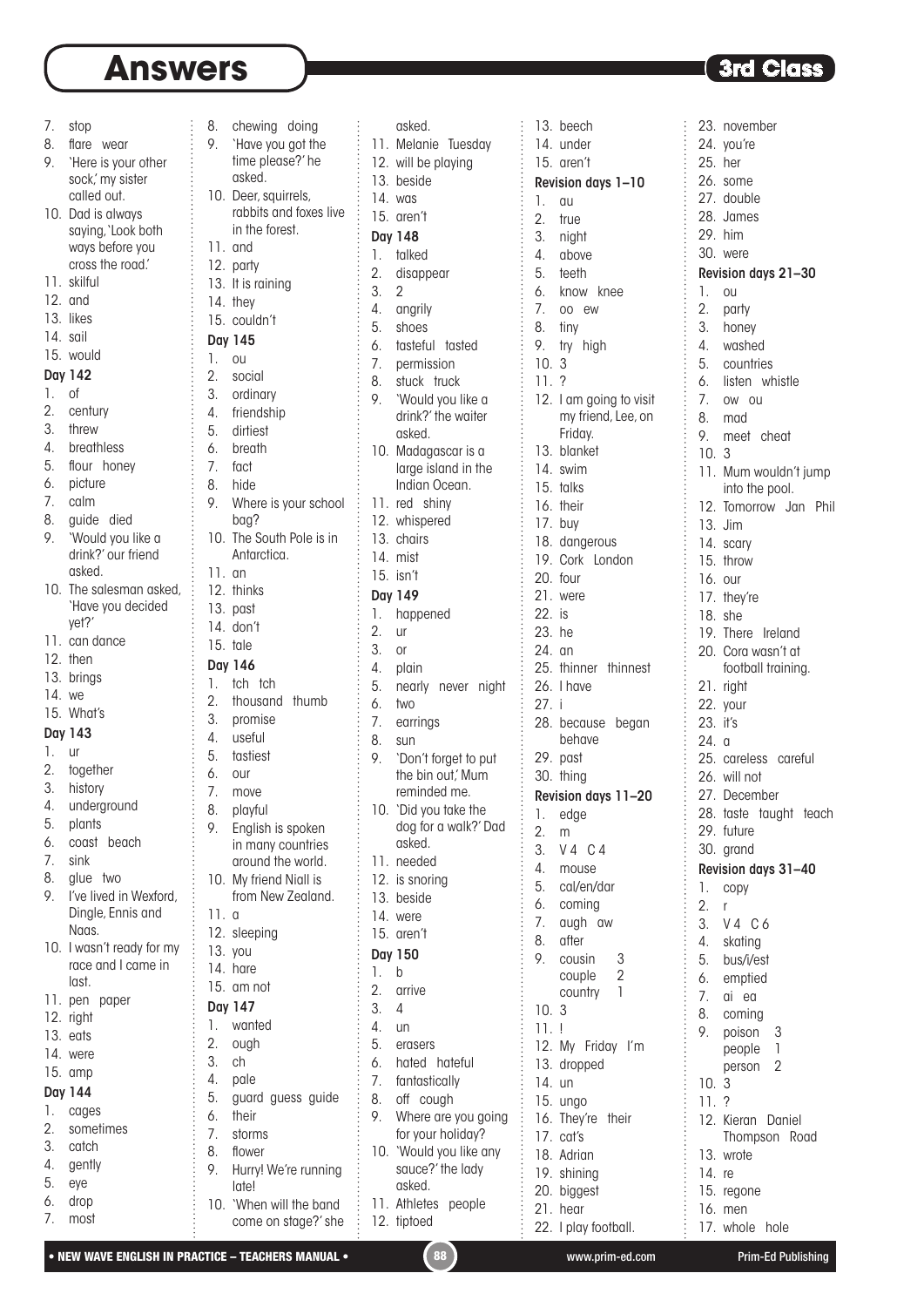8. chewing doing 9. 'Have you got the

7. stop

- 8. flare wear
- 9. 'Here is your other sock,'my sister called out.
- 10. Dad is always saying, 'Look both ways before you cross the road.'
- 11. skilful
- 12. and
- 13. likes
- 14. sail
- 15. would

#### Day 142

- 1. of
- 2. century
- 3. threw
- 4. breathless
- 5. flour honey
- 6. picture
- 7. calm
- 8. guide died 9. 'Would you like a drink?' our friend
- asked. 10. The salesman asked, 'Have you decided
- yet?'
- 11. can dance
- 12. then
- 13. brings
- 14. we
- 15. What's

#### Day 143

- 1. ur
- 2. together
- 3. history
- 4. underground
- 5. plants
- 6. coast beach
- 7. sink
- 8. glue two
- 9. I've lived in Wexford, Dingle, Ennis and Naas.
- 10. I wasn't ready for my race and I came in
- last.
- 11. pen paper
- 12. right 13. eats
- 14. were
- 15. amp
- Day 144
- 1. cages
- 2. sometimes
- 3. catch
- 4. gently
- 5. eye
- 6. drop
- 7. most
- time please?' he asked. 10. Deer, squirrels, rabbits and foxes live in the forest. 11. and 12. party 13. It is raining 14. they 15. couldn't Day 145 1. ou 2. social 3. ordinary 4. friendship 5. dirtiest 6. breath 7. fact 8. hide 9. Where is your school bag? 10. The South Pole is in Antarctica. 11. an 12. thinks 13. past 14. don't 15. tale Day 146 1. tch tch 2. thousand thumb 3. promise 4. useful 5. tastiest 6. our 7. move 8. playful 9. English is spoken in many countries around the world. 10. My friend Niall is from New Zealand. 11. a 12. sleeping 13. you 14. hare 15. am not Day 147 1. wanted 2. ough 3. ch 4. pale 5. guard guess guide 6. their 7. storms 8. flower 9. Hurry! We're running late!

|         | asked.                         |        | 13. beech            |
|---------|--------------------------------|--------|----------------------|
|         | 11. Melanie Tuesday            |        | 14. under            |
|         | 12. will be playing            |        | 15. aren't           |
|         | 13. beside                     |        | Revision day         |
| 14. was |                                | 1.     | au                   |
|         | 15. aren't                     | 2.     | true                 |
|         | <b>Day 148</b>                 |        | 3. night             |
| 1.      | talked                         |        | 4. above             |
|         | 2. disappear                   |        | 5. teeth             |
| 3.      | $\overline{2}$                 |        | 6. know k            |
|         | 4. angrily                     |        | 7. oo ew             |
| 5.      | shoes                          | 8.     | tiny                 |
| 6.      | tasteful tasted                | 9.     | try high             |
|         | 7. permission                  | 10.3   |                      |
| 8.      | stuck truck                    | 11.    | ?                    |
|         | 9. 'Would you like a           |        | 12. I am goi         |
|         | drink?' the waiter             |        | my frien             |
|         | asked.                         |        | Friday.              |
| 10.     | Madagascar is a                |        | 13. blanket          |
|         | large island in the            |        | 14. swim             |
|         | Indian Ocean.                  |        | 15. talks            |
|         | 11. red shiny                  |        | 16. their            |
|         | 12. whispered                  |        |                      |
|         | 13. chairs                     |        | 17. buy              |
|         | 14. mist                       |        | 18. dangera          |
|         | 15. isn't                      |        | 19. Cork<br>L        |
|         |                                |        | 20. four             |
|         | Day 149                        |        | 21. were             |
| 1.      | happened                       | 22. is |                      |
| 2.      | ur                             | 23. he |                      |
| 3.      | or                             | 24. an |                      |
| 4.      | plain                          |        | 25. thinner          |
| 5.      | nearly never night             |        | 26. I have           |
| 6.      | two                            | 27. i  |                      |
| 7.      | earrings                       |        | 28. because          |
| 8.      | sun                            |        | behave               |
| 9.      | 'Don't forget to put           |        | 29. past             |
|         | the bin out,' Mum              |        | 30. thing            |
|         | reminded me.                   |        | Revision day         |
|         | 10. 'Did you take the          |        | 1. edge              |
|         | dog for a walk?' Dad<br>asked. | 2.     | m                    |
| 11.     | needed                         | 3.     | $V4$ C               |
|         |                                | 4.     | mouse                |
| 13.     | 12. is snoring                 | 5.     | cal/en/d             |
| 14.     | beside                         | 6.     | coming               |
|         | were                           | 7.     | augh<br>$\mathbf{C}$ |
| 15.     | aren't                         | 8.     | after                |
|         | Day 150                        | 9.     | cousin               |
| 1.      | b                              |        | couple               |
| 2.      | arrive                         |        | country              |
| 3.      | 4                              | 10.    | 3                    |
| 4.      | un                             | 11.    | Ţ                    |
| 5.      | erasers                        |        | 12. My Fric          |
| 6.      | hated hateful                  | 13.    | dropped              |
| 7.      | fantastically                  | 14.    | un                   |
| 8.      | off cough                      | 15.    | ungo                 |
| 9.      | Where are you going            |        | 16. They're          |
|         | for your holiday?              |        | 17. cat's            |
| 10.     | 'Would you like any            |        | 18. Adrian           |
|         | sauce?' the lady               |        | 19. shining          |
|         | asked.                         | 20.    | biggest              |
| 11.     | Athletes people                |        | 21. hear             |
|         | 12. tiptoed                    |        | 22. I play fo        |
|         |                                |        |                      |

| 13. beech<br>23. novemb<br>14. under<br>24. you're<br>15. aren't<br>25. her<br>26. some<br>Revision days 1-10<br>27. double<br>1.<br>au<br>28. James<br>$\overline{2}$ .<br>true<br>29. him<br>3.<br>night<br>30. were<br>$\overline{4}$ .<br>above<br>5.<br><b>Revision dat</b><br>teeth<br>6. know knee<br>1.<br><b>OU</b><br>7.<br>2.<br>00 ew<br>party<br>8.<br>3. honey<br>tiny<br>9.<br>4.<br>washed<br>try<br>high<br>10.<br>5.<br>3<br>countrie<br>11.7<br>6.<br>listen v<br>12. I am going to visit<br>7.<br>OW OU<br>my friend, Lee, on<br>8.<br>mad<br>Friday.<br>9. meet o<br>13. blanket<br>10.<br>3<br>14. swim<br>11. Mum w<br>15. talks<br>into the<br>16. their<br>12. Tomorro<br>17. buy<br>13. Jim<br>18. dangerous<br>14. scary<br>19. Cork London<br>15.<br>throw<br>20. four<br>16. our<br>21. were<br>17. they're<br>22. is<br>18.<br>she<br>23. he<br>19. There<br>24. an<br>20.<br>Cora wo<br>25. thinner thinnest<br>football<br>26. I have<br>21. right<br>27. i<br>22. your<br>28. because<br>23. it's<br>began<br>behave<br>24. a<br>29. past<br>25. careless<br>30.<br>thing<br>26. will not<br>Revision days 11-20<br>27.<br>Deceml<br>28.<br>taste<br>t<br>1.<br>edge<br>29.<br>future<br>2.<br>m<br>30.<br>3.<br>V4 C4<br>grand<br>4.<br><b>Revision dat</b><br>mouse<br>5.<br>cal/en/dar<br>1.<br>copy<br>6.<br>coming<br>2.<br>r<br>7.<br>augh<br>3.<br>$V4$ C<br>aw<br>after<br>4.<br>skating<br>cousin<br>3<br>5.<br>bus/i/es<br>couple<br>2<br>6.<br>emptied<br>country<br>1<br>7.<br>ai ea<br>10.<br>3<br>8.<br>coming<br>11.<br>Ļ<br>9.<br>poison<br>12.<br>My Friday<br>ľm<br>people<br>13.<br>dropped<br>person<br>14.<br>un<br>3<br>10.<br>15.<br>ungo<br>11.<br>?<br>16.<br>They're their<br>12.<br>Kieran<br>17.<br>cat's<br>Thomps<br>18. Adrian<br>wrote<br>13.<br>19. shining<br>14.<br>re<br>20. biggest<br>15.<br>regone<br>21. hear<br>16.<br>men<br>22. I play football.<br>17. whole |    |  |  |
|-------------------------------------------------------------------------------------------------------------------------------------------------------------------------------------------------------------------------------------------------------------------------------------------------------------------------------------------------------------------------------------------------------------------------------------------------------------------------------------------------------------------------------------------------------------------------------------------------------------------------------------------------------------------------------------------------------------------------------------------------------------------------------------------------------------------------------------------------------------------------------------------------------------------------------------------------------------------------------------------------------------------------------------------------------------------------------------------------------------------------------------------------------------------------------------------------------------------------------------------------------------------------------------------------------------------------------------------------------------------------------------------------------------------------------------------------------------------------------------------------------------------------------------------------------------------------------------------------------------------------------------------------------------------------------------------------------------------------------------------------------------------------------------------------------------------------------------------------------------------------------------------------------------------------------------------|----|--|--|
|                                                                                                                                                                                                                                                                                                                                                                                                                                                                                                                                                                                                                                                                                                                                                                                                                                                                                                                                                                                                                                                                                                                                                                                                                                                                                                                                                                                                                                                                                                                                                                                                                                                                                                                                                                                                                                                                                                                                           |    |  |  |
|                                                                                                                                                                                                                                                                                                                                                                                                                                                                                                                                                                                                                                                                                                                                                                                                                                                                                                                                                                                                                                                                                                                                                                                                                                                                                                                                                                                                                                                                                                                                                                                                                                                                                                                                                                                                                                                                                                                                           |    |  |  |
|                                                                                                                                                                                                                                                                                                                                                                                                                                                                                                                                                                                                                                                                                                                                                                                                                                                                                                                                                                                                                                                                                                                                                                                                                                                                                                                                                                                                                                                                                                                                                                                                                                                                                                                                                                                                                                                                                                                                           |    |  |  |
|                                                                                                                                                                                                                                                                                                                                                                                                                                                                                                                                                                                                                                                                                                                                                                                                                                                                                                                                                                                                                                                                                                                                                                                                                                                                                                                                                                                                                                                                                                                                                                                                                                                                                                                                                                                                                                                                                                                                           |    |  |  |
|                                                                                                                                                                                                                                                                                                                                                                                                                                                                                                                                                                                                                                                                                                                                                                                                                                                                                                                                                                                                                                                                                                                                                                                                                                                                                                                                                                                                                                                                                                                                                                                                                                                                                                                                                                                                                                                                                                                                           |    |  |  |
|                                                                                                                                                                                                                                                                                                                                                                                                                                                                                                                                                                                                                                                                                                                                                                                                                                                                                                                                                                                                                                                                                                                                                                                                                                                                                                                                                                                                                                                                                                                                                                                                                                                                                                                                                                                                                                                                                                                                           |    |  |  |
|                                                                                                                                                                                                                                                                                                                                                                                                                                                                                                                                                                                                                                                                                                                                                                                                                                                                                                                                                                                                                                                                                                                                                                                                                                                                                                                                                                                                                                                                                                                                                                                                                                                                                                                                                                                                                                                                                                                                           |    |  |  |
|                                                                                                                                                                                                                                                                                                                                                                                                                                                                                                                                                                                                                                                                                                                                                                                                                                                                                                                                                                                                                                                                                                                                                                                                                                                                                                                                                                                                                                                                                                                                                                                                                                                                                                                                                                                                                                                                                                                                           |    |  |  |
|                                                                                                                                                                                                                                                                                                                                                                                                                                                                                                                                                                                                                                                                                                                                                                                                                                                                                                                                                                                                                                                                                                                                                                                                                                                                                                                                                                                                                                                                                                                                                                                                                                                                                                                                                                                                                                                                                                                                           |    |  |  |
|                                                                                                                                                                                                                                                                                                                                                                                                                                                                                                                                                                                                                                                                                                                                                                                                                                                                                                                                                                                                                                                                                                                                                                                                                                                                                                                                                                                                                                                                                                                                                                                                                                                                                                                                                                                                                                                                                                                                           |    |  |  |
|                                                                                                                                                                                                                                                                                                                                                                                                                                                                                                                                                                                                                                                                                                                                                                                                                                                                                                                                                                                                                                                                                                                                                                                                                                                                                                                                                                                                                                                                                                                                                                                                                                                                                                                                                                                                                                                                                                                                           |    |  |  |
|                                                                                                                                                                                                                                                                                                                                                                                                                                                                                                                                                                                                                                                                                                                                                                                                                                                                                                                                                                                                                                                                                                                                                                                                                                                                                                                                                                                                                                                                                                                                                                                                                                                                                                                                                                                                                                                                                                                                           |    |  |  |
|                                                                                                                                                                                                                                                                                                                                                                                                                                                                                                                                                                                                                                                                                                                                                                                                                                                                                                                                                                                                                                                                                                                                                                                                                                                                                                                                                                                                                                                                                                                                                                                                                                                                                                                                                                                                                                                                                                                                           |    |  |  |
|                                                                                                                                                                                                                                                                                                                                                                                                                                                                                                                                                                                                                                                                                                                                                                                                                                                                                                                                                                                                                                                                                                                                                                                                                                                                                                                                                                                                                                                                                                                                                                                                                                                                                                                                                                                                                                                                                                                                           |    |  |  |
|                                                                                                                                                                                                                                                                                                                                                                                                                                                                                                                                                                                                                                                                                                                                                                                                                                                                                                                                                                                                                                                                                                                                                                                                                                                                                                                                                                                                                                                                                                                                                                                                                                                                                                                                                                                                                                                                                                                                           |    |  |  |
|                                                                                                                                                                                                                                                                                                                                                                                                                                                                                                                                                                                                                                                                                                                                                                                                                                                                                                                                                                                                                                                                                                                                                                                                                                                                                                                                                                                                                                                                                                                                                                                                                                                                                                                                                                                                                                                                                                                                           |    |  |  |
|                                                                                                                                                                                                                                                                                                                                                                                                                                                                                                                                                                                                                                                                                                                                                                                                                                                                                                                                                                                                                                                                                                                                                                                                                                                                                                                                                                                                                                                                                                                                                                                                                                                                                                                                                                                                                                                                                                                                           |    |  |  |
|                                                                                                                                                                                                                                                                                                                                                                                                                                                                                                                                                                                                                                                                                                                                                                                                                                                                                                                                                                                                                                                                                                                                                                                                                                                                                                                                                                                                                                                                                                                                                                                                                                                                                                                                                                                                                                                                                                                                           |    |  |  |
|                                                                                                                                                                                                                                                                                                                                                                                                                                                                                                                                                                                                                                                                                                                                                                                                                                                                                                                                                                                                                                                                                                                                                                                                                                                                                                                                                                                                                                                                                                                                                                                                                                                                                                                                                                                                                                                                                                                                           |    |  |  |
|                                                                                                                                                                                                                                                                                                                                                                                                                                                                                                                                                                                                                                                                                                                                                                                                                                                                                                                                                                                                                                                                                                                                                                                                                                                                                                                                                                                                                                                                                                                                                                                                                                                                                                                                                                                                                                                                                                                                           |    |  |  |
|                                                                                                                                                                                                                                                                                                                                                                                                                                                                                                                                                                                                                                                                                                                                                                                                                                                                                                                                                                                                                                                                                                                                                                                                                                                                                                                                                                                                                                                                                                                                                                                                                                                                                                                                                                                                                                                                                                                                           |    |  |  |
|                                                                                                                                                                                                                                                                                                                                                                                                                                                                                                                                                                                                                                                                                                                                                                                                                                                                                                                                                                                                                                                                                                                                                                                                                                                                                                                                                                                                                                                                                                                                                                                                                                                                                                                                                                                                                                                                                                                                           |    |  |  |
|                                                                                                                                                                                                                                                                                                                                                                                                                                                                                                                                                                                                                                                                                                                                                                                                                                                                                                                                                                                                                                                                                                                                                                                                                                                                                                                                                                                                                                                                                                                                                                                                                                                                                                                                                                                                                                                                                                                                           |    |  |  |
|                                                                                                                                                                                                                                                                                                                                                                                                                                                                                                                                                                                                                                                                                                                                                                                                                                                                                                                                                                                                                                                                                                                                                                                                                                                                                                                                                                                                                                                                                                                                                                                                                                                                                                                                                                                                                                                                                                                                           |    |  |  |
|                                                                                                                                                                                                                                                                                                                                                                                                                                                                                                                                                                                                                                                                                                                                                                                                                                                                                                                                                                                                                                                                                                                                                                                                                                                                                                                                                                                                                                                                                                                                                                                                                                                                                                                                                                                                                                                                                                                                           |    |  |  |
|                                                                                                                                                                                                                                                                                                                                                                                                                                                                                                                                                                                                                                                                                                                                                                                                                                                                                                                                                                                                                                                                                                                                                                                                                                                                                                                                                                                                                                                                                                                                                                                                                                                                                                                                                                                                                                                                                                                                           |    |  |  |
|                                                                                                                                                                                                                                                                                                                                                                                                                                                                                                                                                                                                                                                                                                                                                                                                                                                                                                                                                                                                                                                                                                                                                                                                                                                                                                                                                                                                                                                                                                                                                                                                                                                                                                                                                                                                                                                                                                                                           |    |  |  |
|                                                                                                                                                                                                                                                                                                                                                                                                                                                                                                                                                                                                                                                                                                                                                                                                                                                                                                                                                                                                                                                                                                                                                                                                                                                                                                                                                                                                                                                                                                                                                                                                                                                                                                                                                                                                                                                                                                                                           |    |  |  |
|                                                                                                                                                                                                                                                                                                                                                                                                                                                                                                                                                                                                                                                                                                                                                                                                                                                                                                                                                                                                                                                                                                                                                                                                                                                                                                                                                                                                                                                                                                                                                                                                                                                                                                                                                                                                                                                                                                                                           |    |  |  |
|                                                                                                                                                                                                                                                                                                                                                                                                                                                                                                                                                                                                                                                                                                                                                                                                                                                                                                                                                                                                                                                                                                                                                                                                                                                                                                                                                                                                                                                                                                                                                                                                                                                                                                                                                                                                                                                                                                                                           |    |  |  |
|                                                                                                                                                                                                                                                                                                                                                                                                                                                                                                                                                                                                                                                                                                                                                                                                                                                                                                                                                                                                                                                                                                                                                                                                                                                                                                                                                                                                                                                                                                                                                                                                                                                                                                                                                                                                                                                                                                                                           |    |  |  |
|                                                                                                                                                                                                                                                                                                                                                                                                                                                                                                                                                                                                                                                                                                                                                                                                                                                                                                                                                                                                                                                                                                                                                                                                                                                                                                                                                                                                                                                                                                                                                                                                                                                                                                                                                                                                                                                                                                                                           |    |  |  |
|                                                                                                                                                                                                                                                                                                                                                                                                                                                                                                                                                                                                                                                                                                                                                                                                                                                                                                                                                                                                                                                                                                                                                                                                                                                                                                                                                                                                                                                                                                                                                                                                                                                                                                                                                                                                                                                                                                                                           |    |  |  |
|                                                                                                                                                                                                                                                                                                                                                                                                                                                                                                                                                                                                                                                                                                                                                                                                                                                                                                                                                                                                                                                                                                                                                                                                                                                                                                                                                                                                                                                                                                                                                                                                                                                                                                                                                                                                                                                                                                                                           |    |  |  |
|                                                                                                                                                                                                                                                                                                                                                                                                                                                                                                                                                                                                                                                                                                                                                                                                                                                                                                                                                                                                                                                                                                                                                                                                                                                                                                                                                                                                                                                                                                                                                                                                                                                                                                                                                                                                                                                                                                                                           |    |  |  |
|                                                                                                                                                                                                                                                                                                                                                                                                                                                                                                                                                                                                                                                                                                                                                                                                                                                                                                                                                                                                                                                                                                                                                                                                                                                                                                                                                                                                                                                                                                                                                                                                                                                                                                                                                                                                                                                                                                                                           |    |  |  |
|                                                                                                                                                                                                                                                                                                                                                                                                                                                                                                                                                                                                                                                                                                                                                                                                                                                                                                                                                                                                                                                                                                                                                                                                                                                                                                                                                                                                                                                                                                                                                                                                                                                                                                                                                                                                                                                                                                                                           |    |  |  |
|                                                                                                                                                                                                                                                                                                                                                                                                                                                                                                                                                                                                                                                                                                                                                                                                                                                                                                                                                                                                                                                                                                                                                                                                                                                                                                                                                                                                                                                                                                                                                                                                                                                                                                                                                                                                                                                                                                                                           |    |  |  |
|                                                                                                                                                                                                                                                                                                                                                                                                                                                                                                                                                                                                                                                                                                                                                                                                                                                                                                                                                                                                                                                                                                                                                                                                                                                                                                                                                                                                                                                                                                                                                                                                                                                                                                                                                                                                                                                                                                                                           |    |  |  |
|                                                                                                                                                                                                                                                                                                                                                                                                                                                                                                                                                                                                                                                                                                                                                                                                                                                                                                                                                                                                                                                                                                                                                                                                                                                                                                                                                                                                                                                                                                                                                                                                                                                                                                                                                                                                                                                                                                                                           |    |  |  |
|                                                                                                                                                                                                                                                                                                                                                                                                                                                                                                                                                                                                                                                                                                                                                                                                                                                                                                                                                                                                                                                                                                                                                                                                                                                                                                                                                                                                                                                                                                                                                                                                                                                                                                                                                                                                                                                                                                                                           | 8. |  |  |
|                                                                                                                                                                                                                                                                                                                                                                                                                                                                                                                                                                                                                                                                                                                                                                                                                                                                                                                                                                                                                                                                                                                                                                                                                                                                                                                                                                                                                                                                                                                                                                                                                                                                                                                                                                                                                                                                                                                                           | 9. |  |  |
|                                                                                                                                                                                                                                                                                                                                                                                                                                                                                                                                                                                                                                                                                                                                                                                                                                                                                                                                                                                                                                                                                                                                                                                                                                                                                                                                                                                                                                                                                                                                                                                                                                                                                                                                                                                                                                                                                                                                           |    |  |  |
|                                                                                                                                                                                                                                                                                                                                                                                                                                                                                                                                                                                                                                                                                                                                                                                                                                                                                                                                                                                                                                                                                                                                                                                                                                                                                                                                                                                                                                                                                                                                                                                                                                                                                                                                                                                                                                                                                                                                           |    |  |  |
|                                                                                                                                                                                                                                                                                                                                                                                                                                                                                                                                                                                                                                                                                                                                                                                                                                                                                                                                                                                                                                                                                                                                                                                                                                                                                                                                                                                                                                                                                                                                                                                                                                                                                                                                                                                                                                                                                                                                           |    |  |  |
|                                                                                                                                                                                                                                                                                                                                                                                                                                                                                                                                                                                                                                                                                                                                                                                                                                                                                                                                                                                                                                                                                                                                                                                                                                                                                                                                                                                                                                                                                                                                                                                                                                                                                                                                                                                                                                                                                                                                           |    |  |  |
|                                                                                                                                                                                                                                                                                                                                                                                                                                                                                                                                                                                                                                                                                                                                                                                                                                                                                                                                                                                                                                                                                                                                                                                                                                                                                                                                                                                                                                                                                                                                                                                                                                                                                                                                                                                                                                                                                                                                           |    |  |  |
|                                                                                                                                                                                                                                                                                                                                                                                                                                                                                                                                                                                                                                                                                                                                                                                                                                                                                                                                                                                                                                                                                                                                                                                                                                                                                                                                                                                                                                                                                                                                                                                                                                                                                                                                                                                                                                                                                                                                           |    |  |  |
|                                                                                                                                                                                                                                                                                                                                                                                                                                                                                                                                                                                                                                                                                                                                                                                                                                                                                                                                                                                                                                                                                                                                                                                                                                                                                                                                                                                                                                                                                                                                                                                                                                                                                                                                                                                                                                                                                                                                           |    |  |  |
|                                                                                                                                                                                                                                                                                                                                                                                                                                                                                                                                                                                                                                                                                                                                                                                                                                                                                                                                                                                                                                                                                                                                                                                                                                                                                                                                                                                                                                                                                                                                                                                                                                                                                                                                                                                                                                                                                                                                           |    |  |  |
|                                                                                                                                                                                                                                                                                                                                                                                                                                                                                                                                                                                                                                                                                                                                                                                                                                                                                                                                                                                                                                                                                                                                                                                                                                                                                                                                                                                                                                                                                                                                                                                                                                                                                                                                                                                                                                                                                                                                           |    |  |  |
|                                                                                                                                                                                                                                                                                                                                                                                                                                                                                                                                                                                                                                                                                                                                                                                                                                                                                                                                                                                                                                                                                                                                                                                                                                                                                                                                                                                                                                                                                                                                                                                                                                                                                                                                                                                                                                                                                                                                           |    |  |  |
|                                                                                                                                                                                                                                                                                                                                                                                                                                                                                                                                                                                                                                                                                                                                                                                                                                                                                                                                                                                                                                                                                                                                                                                                                                                                                                                                                                                                                                                                                                                                                                                                                                                                                                                                                                                                                                                                                                                                           |    |  |  |
|                                                                                                                                                                                                                                                                                                                                                                                                                                                                                                                                                                                                                                                                                                                                                                                                                                                                                                                                                                                                                                                                                                                                                                                                                                                                                                                                                                                                                                                                                                                                                                                                                                                                                                                                                                                                                                                                                                                                           |    |  |  |
|                                                                                                                                                                                                                                                                                                                                                                                                                                                                                                                                                                                                                                                                                                                                                                                                                                                                                                                                                                                                                                                                                                                                                                                                                                                                                                                                                                                                                                                                                                                                                                                                                                                                                                                                                                                                                                                                                                                                           |    |  |  |

ber  $vs$  21–30 es whistle cheat ouldn't jump pool. ow Jan Phil Ireland asn't at training. s careful  $har$ aught teach  $ys 31–40$ 3. V 4 C 6 5. bus/i/est 6. emptied 9. poison 3  $\overline{1}$  $\overline{2}$ Daniel son Road 17. whole hole

• NEW WAVE ENGLISH IN PRACTICE – TEACHERS MANUAL • (88) www.prim-ed.com Prim-Ed Publishing

10. 'When will the band come on stage?' she

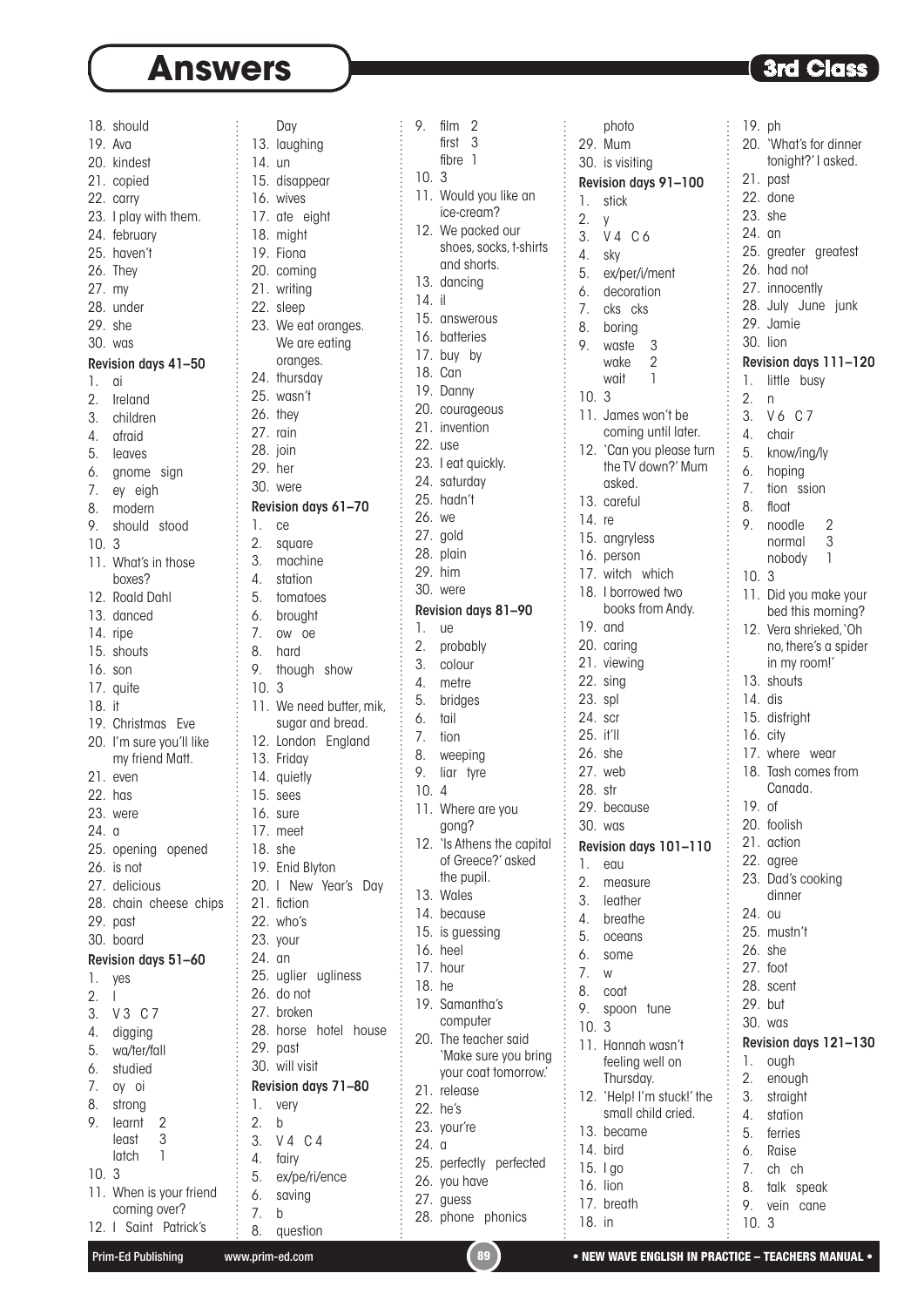|          | 18. should                                                                        |          | Day                     |
|----------|-----------------------------------------------------------------------------------|----------|-------------------------|
|          | 19. Ava                                                                           |          | 13. laughing            |
|          | 20. kindest                                                                       | $14.$ un |                         |
|          | 21. copied                                                                        |          | 15. disappear           |
|          | 22. carry                                                                         |          | 16. wives               |
|          | 23. I play with them.                                                             |          | 17. ate eight           |
|          | 24. february                                                                      |          | 18. might               |
|          | 25. haven't                                                                       |          | 19. Fiona               |
|          |                                                                                   |          |                         |
|          | 26. They                                                                          |          | 20. coming              |
|          | 27. my                                                                            |          | 21. writing             |
|          | 28. under                                                                         |          | 22. sleep               |
|          | 29. she                                                                           |          | 23. We eat oranges.     |
|          | 30. was                                                                           |          | We are eating           |
|          | Revision days 41-50                                                               |          | oranges.                |
| 1.       | αi                                                                                |          | 24. thursday            |
| 2.       | Ireland                                                                           |          | 25. wasn't              |
|          |                                                                                   |          | 26. they                |
|          |                                                                                   |          | 27. rain                |
|          |                                                                                   |          | 28. join                |
|          |                                                                                   |          | 29. her                 |
|          |                                                                                   |          | 30. were                |
|          | 3. children<br>4. afraid<br>5. leaves<br>6. gnome sign<br>7. ey eigh<br>8. modern |          | Revision days 61-70     |
|          | 9. should stood                                                                   | $1.$ ce  |                         |
| 10.3     |                                                                                   |          | 2. square               |
|          | 11. What's in those                                                               |          | 3. machine              |
|          | boxes?                                                                            |          | 4. station              |
|          | 12. Roald Dahl                                                                    |          | 5. tomatoes             |
|          | 13. danced                                                                        |          | 6. brought              |
|          | 14. ripe                                                                          |          | 7. ow oe                |
|          | 15. shouts                                                                        |          |                         |
|          |                                                                                   |          | 8. hard                 |
|          | 16. son                                                                           |          | 9. though show          |
|          | 17. quite                                                                         | 10.3     |                         |
| $18.$ if |                                                                                   |          | 11. We need butter, mil |
|          | 19. Christmas Eve                                                                 |          | sugar and bread.        |
|          | 20. I'm sure you'll like                                                          |          | 12. London England      |
|          | my friend Matt.                                                                   |          | 13. Friday              |
|          | 21. even                                                                          |          | 14. quietly             |
|          | 22. has                                                                           |          | 15. sees                |
|          | 23. were                                                                          |          | 16. sure                |
| 24.      | a                                                                                 |          | 17. meet                |
|          | 25. opening opened                                                                |          | 18. she                 |
|          | 26. is not                                                                        |          | 19. Enid Blyton         |
|          | 27. delicious                                                                     |          | 20. I New Year's Day    |
|          | 28. chain cheese chips                                                            |          | 21. fiction             |
|          | 29. past                                                                          |          | 22. who's               |
|          | 30. board                                                                         |          | 23. your                |
|          | Revision days 51-60                                                               | 24. an   |                         |
| 1.       | yes                                                                               |          | 25. uglier ugliness     |
| 2.       | L                                                                                 |          | 26. do not              |
| 3.       | $V3$ $C7$                                                                         |          | 27. broken              |
|          | 4. digging                                                                        |          | 28. horse hotel hous    |
|          |                                                                                   |          | 29. past                |
| 6.       | 5. wa/ter/fall                                                                    |          | 30. will visit          |
|          | studied                                                                           |          |                         |
|          | 7. oy oi                                                                          |          | Revision days 71-80     |
| 8.       | strong                                                                            | 1.       | very                    |
| 9.       | learnt<br>2                                                                       | 2.       | b                       |
|          | 3<br>least                                                                        |          | 3. V 4 C 4              |
|          | latch<br>1                                                                        |          | 4. fairy                |
| 10.3     |                                                                                   |          | 5. ex/pe/ri/ence        |
|          | 11. When is your friend                                                           | 6.       | saving                  |
|          | coming over?                                                                      | 7.       | b                       |
| 12. L    | Saint Patrick's                                                                   |          | 8. question             |

|    | 9.      | film <sub>2</sub>                  |                                                                                                    |
|----|---------|------------------------------------|----------------------------------------------------------------------------------------------------|
|    |         | first $3$                          |                                                                                                    |
|    |         |                                    |                                                                                                    |
|    |         | fibre 1                            |                                                                                                    |
|    | 10.     | 3                                  |                                                                                                    |
|    |         | 11. Would you like an              |                                                                                                    |
|    |         | ice-cream?                         |                                                                                                    |
|    |         |                                    |                                                                                                    |
|    |         | 12. We packed our                  |                                                                                                    |
|    |         | shoes, socks, t-shirts             |                                                                                                    |
|    |         | and shorts.                        |                                                                                                    |
|    |         | 13. dancing                        |                                                                                                    |
|    |         |                                    |                                                                                                    |
|    | 14. il  |                                    |                                                                                                    |
|    |         | 15. answerous                      |                                                                                                    |
|    |         | 16. batteries                      |                                                                                                    |
|    |         |                                    |                                                                                                    |
|    |         | 17. buy by                         |                                                                                                    |
|    |         | 18. Can                            |                                                                                                    |
|    |         | 19. Danny                          |                                                                                                    |
|    |         | 20. courageous                     |                                                                                                    |
|    |         |                                    |                                                                                                    |
|    |         | 21. invention                      |                                                                                                    |
|    |         | 22. use                            |                                                                                                    |
|    |         |                                    |                                                                                                    |
|    |         | 23. I eat quickly.<br>24. saturday |                                                                                                    |
|    |         | 25. hadn't                         |                                                                                                    |
|    |         |                                    |                                                                                                    |
|    | 26. we  |                                    |                                                                                                    |
|    |         | 27. gold                           |                                                                                                    |
|    |         | 28. plain                          | 的复数形式的过去式和过去分词 医阿拉伯氏的过去式和过去分词形式的过去式和过去分词形式的过去式和过去分词形式 医马克氏试验检尿 医皮肤发育 医皮肤发生 医皮肤发生 医皮肤发生的 医生物学的 医生物学 |
|    |         |                                    |                                                                                                    |
|    |         | 29. him                            |                                                                                                    |
|    |         | 30. were                           |                                                                                                    |
|    |         | Revision days 81-90                |                                                                                                    |
|    | 1.      | ue                                 |                                                                                                    |
|    |         |                                    |                                                                                                    |
|    |         | 2. probably                        |                                                                                                    |
|    |         | 3. colour                          |                                                                                                    |
|    |         | 4. metre                           |                                                                                                    |
|    |         | 5. bridges                         |                                                                                                    |
| k, | 6. tail |                                    |                                                                                                    |
|    |         |                                    |                                                                                                    |
|    | 7.      | tion                               |                                                                                                    |
|    |         | 8. weeping                         |                                                                                                    |
|    |         | 9. liar tyre                       |                                                                                                    |
|    | 10.     | 4                                  |                                                                                                    |
|    |         |                                    |                                                                                                    |
|    |         | 11. Where are you                  |                                                                                                    |
|    |         | gong?                              |                                                                                                    |
|    | 12.     | 'Is Athens the capital             |                                                                                                    |
|    |         | of Greece?' asked                  |                                                                                                    |
|    |         | the pupil.                         |                                                                                                    |
|    | 13.     | Wales                              |                                                                                                    |
|    |         |                                    |                                                                                                    |
|    |         | 14. because                        |                                                                                                    |
|    |         | 15. is guessing                    |                                                                                                    |
|    |         | 16. heel                           |                                                                                                    |
|    |         | 17. hour                           |                                                                                                    |
|    |         |                                    |                                                                                                    |
|    | 18. he  |                                    |                                                                                                    |
|    | 19.     | Samantha's                         |                                                                                                    |
|    |         | computer                           |                                                                                                    |
| ie | 20.     | The teacher said                   |                                                                                                    |
|    |         | 'Make sure you bring               |                                                                                                    |
|    |         | your coat tomorrow.'               |                                                                                                    |
|    |         |                                    |                                                                                                    |
|    |         | 21. release                        |                                                                                                    |
|    |         | 22. he's                           |                                                                                                    |
|    |         | 23. your're                        |                                                                                                    |
|    | 24. a   |                                    |                                                                                                    |
|    |         |                                    |                                                                                                    |
|    |         | 25. perfectly perfected            |                                                                                                    |
|    |         | 26. you have                       |                                                                                                    |
|    |         | 27. guess                          |                                                                                                    |
|    |         | 28. phone phonics                  |                                                                                                    |
|    |         |                                    |                                                                                                    |
|    |         |                                    |                                                                                                    |

|           | photo                      | 19. ph |                        |
|-----------|----------------------------|--------|------------------------|
|           | 29. Mum                    |        | 20. 'What's for dinner |
|           | 30. is visiting            |        | tonight?' I asked.     |
|           | Revision days 91-100       |        | 21. past               |
| 1.        | stick                      |        | 22. done               |
| 2.        | y                          |        | 23. she                |
|           | 3. V 4 C 6                 | 24. an |                        |
| 4. sky    |                            |        | 25. greater greatest   |
|           | 5. ex/per/i/ment           |        | 26. had not            |
|           | 6. decoration              |        | 27. innocently         |
|           | 7. cks cks                 |        | 28. July June junk     |
|           | 8. boring                  |        | 29. Jamie              |
|           | 9. waste<br>3              |        | 30. lion               |
|           | wake<br>2                  |        | Revision days 111-120  |
|           | $\mathbf{1}$<br>wait       |        | 1. little busy         |
| 10.3      |                            | 2.     | n                      |
|           | 11. James won't be         |        | 3. V6 C7               |
|           | coming until later.        |        | 4. chair               |
|           | 12. 'Can you please turn   |        | 5. know/ing/ly         |
|           | the TV down?' Mum          |        | 6. hoping              |
|           | asked.                     | 7.     | tion ssion             |
|           | 13. careful                | 8.     | float                  |
| 14. re    |                            | 9.     | noodle<br>- 2          |
|           | 15. angryless              |        | normal 3               |
|           | 16. person                 |        | 1<br>nobody            |
|           | 17. witch which            | 10.3   |                        |
|           | 18. I borrowed two         |        | 11. Did you make your  |
|           | books from Andy.           |        | bed this morning?      |
|           | 19. and                    |        | 12. Vera shrieked, `Oh |
|           | 20. caring                 |        | no, there's a spider   |
|           | 21. viewing                |        | in my room!'           |
|           | 22. sing                   |        | 13. shouts             |
| 23. spl   |                            |        | 14. dis                |
| 24. scr   |                            |        | 15. disfright          |
| 25. it'll |                            |        | 16. city               |
|           | 26. she                    |        | 17. where wear         |
|           | 27. web                    |        | 18. Tash comes from    |
| 28. str   |                            |        | Canada.                |
|           | 29. because                |        | 19. of                 |
|           | 30. was                    |        | 20. foolish            |
|           | Revision days 101-110      |        | 21. action             |
| 1.        | eau                        |        | 22. agree              |
| 2.        | measure                    |        | 23. Dad's cooking      |
|           | 3. leather                 |        | dinner                 |
|           | 4. breathe                 | 24.    | ou                     |
|           | 5. oceans                  |        | 25. mustn't            |
|           | 6. some                    |        | 26. she                |
| 7.        | W                          |        | 27. foot               |
| 8.        | coat                       |        | 28. scent              |
| 9.        | spoon tune                 |        | 29. but                |
| 10.       | 3                          |        | 30. was                |
| 11.       | Hannah wasn't              |        | Revision days 121-130  |
|           | feeling well on            | 1.     | ough                   |
|           | Thursday.                  | 2.     | enough                 |
|           | 12. 'Help! I'm stuck!' the | 3.     | straight               |
|           | small child cried.         | 4.     | station                |
|           | 13. became                 |        | 5. ferries             |
|           | 14. bird                   |        | 6. Raise               |
|           | 15. Igo                    | 7.     | ch ch                  |
|           | 16. lion                   | 8.     | talk<br>speak          |
| 17.       | breath                     | 9.     | vein<br>cane           |
| 18. in    |                            | 10.3   |                        |